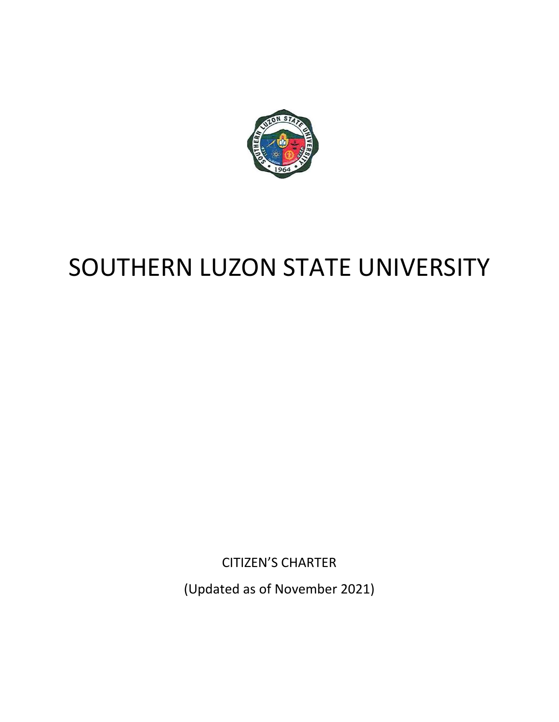

## SOUTHERN LUZON STATE UNIVERSITY

CITIZEN'S CHARTER

(Updated as of November 2021)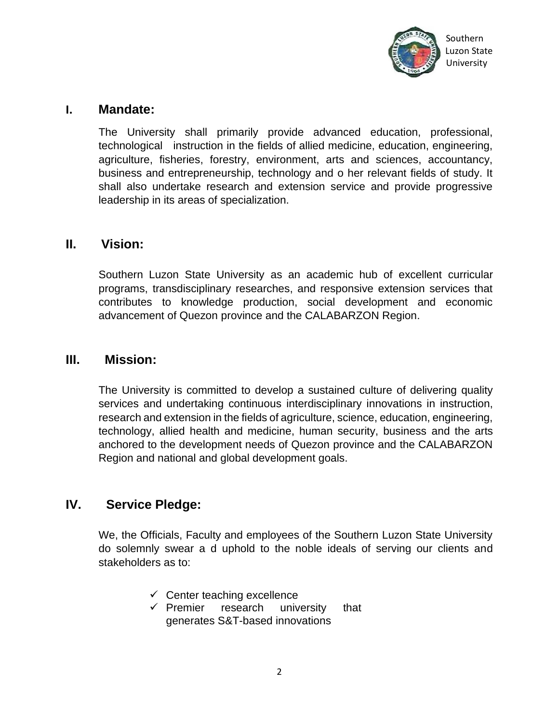

#### **I. Mandate:**

The University shall primarily provide advanced education, professional, technological instruction in the fields of allied medicine, education, engineering, agriculture, fisheries, forestry, environment, arts and sciences, accountancy, business and entrepreneurship, technology and o her relevant fields of study. It shall also undertake research and extension service and provide progressive leadership in its areas of specialization.

#### **II. Vision:**

Southern Luzon State University as an academic hub of excellent curricular programs, transdisciplinary researches, and responsive extension services that contributes to knowledge production, social development and economic advancement of Quezon province and the CALABARZON Region.

#### **III. Mission:**

The University is committed to develop a sustained culture of delivering quality services and undertaking continuous interdisciplinary innovations in instruction, research and extension in the fields of agriculture, science, education, engineering, technology, allied health and medicine, human security, business and the arts anchored to the development needs of Quezon province and the CALABARZON Region and national and global development goals.

#### **IV. Service Pledge:**

We, the Officials, Faculty and employees of the Southern Luzon State University do solemnly swear a d uphold to the noble ideals of serving our clients and stakeholders as to:

- $\checkmark$  Center teaching excellence
- $\checkmark$  Premier research university that generates S&T-based innovations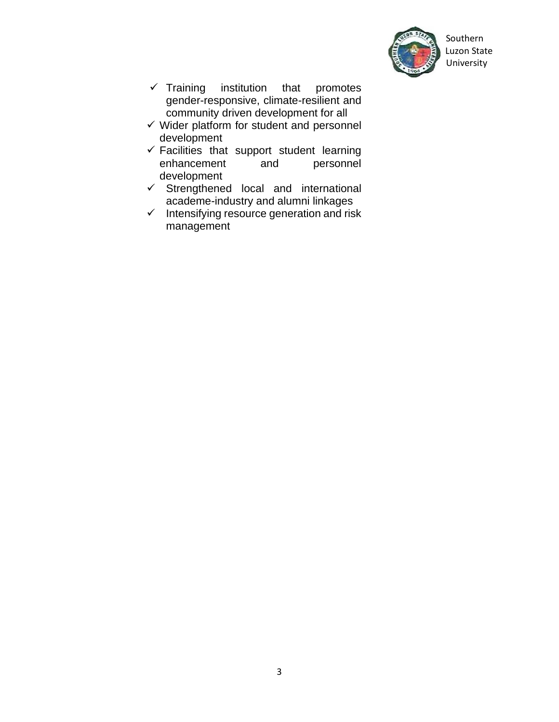

 Southern Luzon State

- $\checkmark$  Training institution that promotes gender-responsive, climate-resilient and community driven development for all
- $\checkmark$  Wider platform for student and personnel development
- $\checkmark$  Facilities that support student learning enhancement and personnel development
- $\checkmark$  Strengthened local and international academe-industry and alumni linkages
- $\checkmark$  Intensifying resource generation and risk management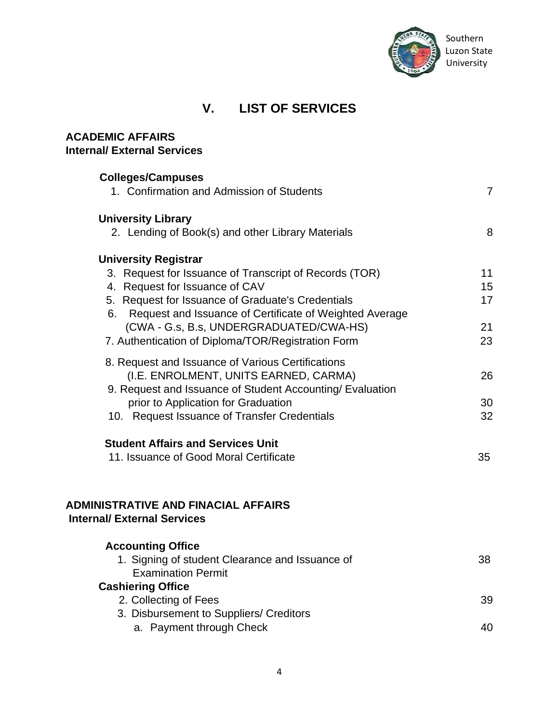

#### **V. LIST OF SERVICES**

| <b>ACADEMIC AFFAIRS</b><br><b>Internal/ External Services</b>                    |                |
|----------------------------------------------------------------------------------|----------------|
| <b>Colleges/Campuses</b>                                                         |                |
| 1. Confirmation and Admission of Students                                        | $\overline{7}$ |
| <b>University Library</b>                                                        |                |
| 2. Lending of Book(s) and other Library Materials                                | 8              |
| <b>University Registrar</b>                                                      |                |
| 3. Request for Issuance of Transcript of Records (TOR)                           | 11             |
| 4. Request for Issuance of CAV                                                   | 15             |
| 5. Request for Issuance of Graduate's Credentials                                | 17             |
| 6. Request and Issuance of Certificate of Weighted Average                       |                |
| (CWA - G.s, B.s, UNDERGRADUATED/CWA-HS)                                          | 21             |
| 7. Authentication of Diploma/TOR/Registration Form                               | 23             |
| 8. Request and Issuance of Various Certifications                                |                |
| (I.E. ENROLMENT, UNITS EARNED, CARMA)                                            | 26             |
| 9. Request and Issuance of Student Accounting/ Evaluation                        |                |
| prior to Application for Graduation                                              | 30             |
| 10. Request Issuance of Transfer Credentials                                     | 32             |
| <b>Student Affairs and Services Unit</b>                                         |                |
| 11. Issuance of Good Moral Certificate                                           | 35             |
|                                                                                  |                |
| <b>ADMINISTRATIVE AND FINACIAL AFFAIRS</b><br><b>Internal/ External Services</b> |                |
| <b>Accounting Office</b>                                                         |                |
| 1. Signing of student Clearance and Issuance of                                  | 38             |
| <b>Examination Permit</b>                                                        |                |
| <b>Cashiering Office</b>                                                         |                |
| 2. Collecting of Fees                                                            | 39             |
| 3. Disbursement to Suppliers/ Creditors                                          |                |
| a. Payment through Check                                                         | 40             |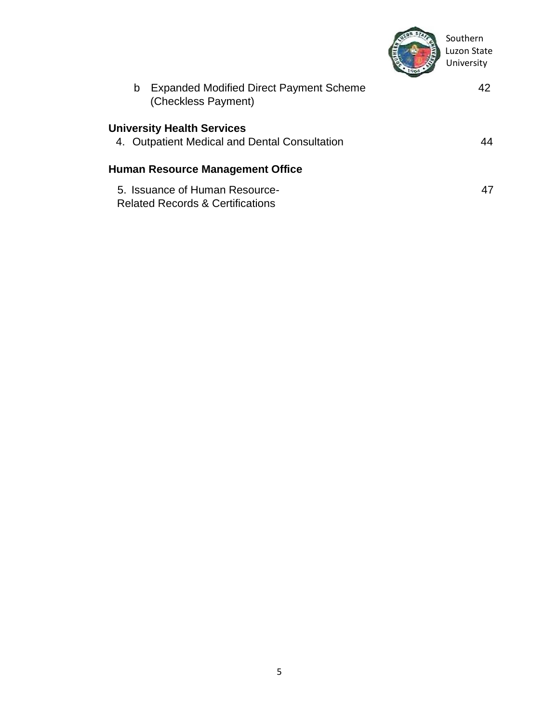

| b | <b>Expanded Modified Direct Payment Scheme</b><br>(Checkless Payment)              | 42 |
|---|------------------------------------------------------------------------------------|----|
|   | <b>University Health Services</b><br>4. Outpatient Medical and Dental Consultation | 44 |
|   | <b>Human Resource Management Office</b>                                            |    |
|   | 5. Issuance of Human Resource-<br><b>Related Records &amp; Certifications</b>      | 47 |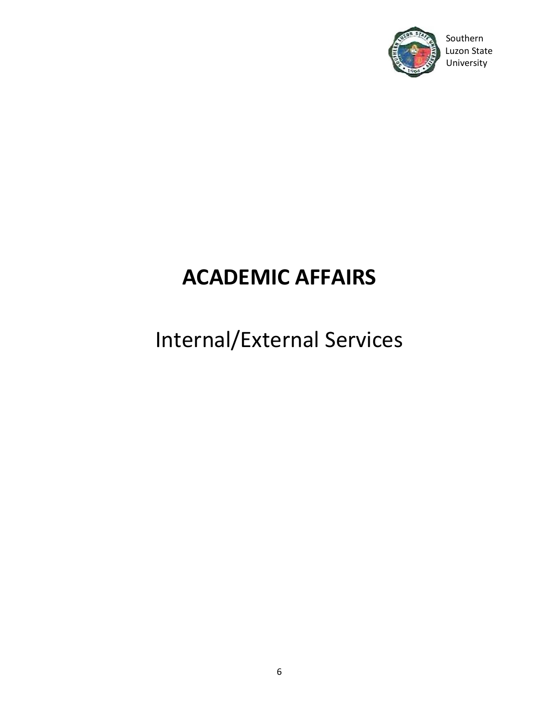

#### Southern Luzon State

## **ACADEMIC AFFAIRS**

## Internal/External Services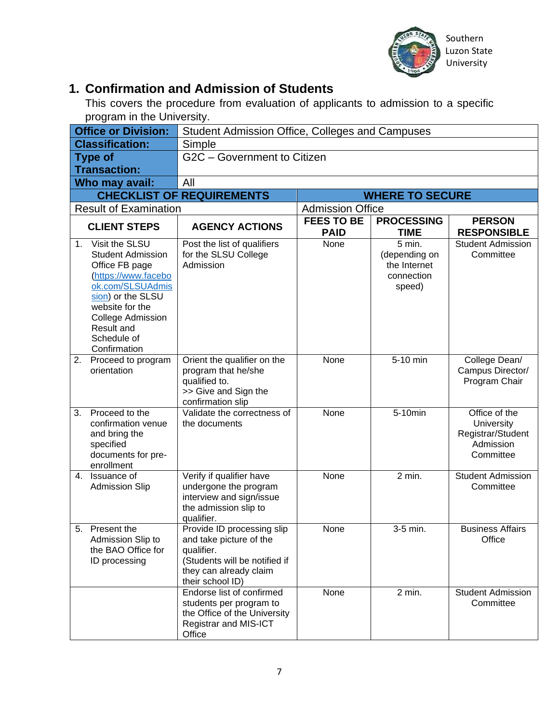

#### **1. Confirmation and Admission of Students**

This covers the procedure from evaluation of applicants to admission to a specific program in the University.

|    | <b>Office or Division:</b>                                                                                                                                                                                                  | Student Admission Office, Colleges and Campuses                                                                                                    |                                                         |                                                                 |                                                                            |
|----|-----------------------------------------------------------------------------------------------------------------------------------------------------------------------------------------------------------------------------|----------------------------------------------------------------------------------------------------------------------------------------------------|---------------------------------------------------------|-----------------------------------------------------------------|----------------------------------------------------------------------------|
|    | <b>Classification:</b>                                                                                                                                                                                                      | Simple                                                                                                                                             |                                                         |                                                                 |                                                                            |
|    | <b>Type of</b>                                                                                                                                                                                                              | G2C - Government to Citizen                                                                                                                        |                                                         |                                                                 |                                                                            |
|    | <b>Transaction:</b>                                                                                                                                                                                                         |                                                                                                                                                    |                                                         |                                                                 |                                                                            |
|    | Who may avail:                                                                                                                                                                                                              | All                                                                                                                                                |                                                         |                                                                 |                                                                            |
|    |                                                                                                                                                                                                                             | <b>CHECKLIST OF REQUIREMENTS</b>                                                                                                                   |                                                         | <b>WHERE TO SECURE</b>                                          |                                                                            |
|    | <b>Result of Examination</b>                                                                                                                                                                                                |                                                                                                                                                    | <b>Admission Office</b>                                 |                                                                 |                                                                            |
|    |                                                                                                                                                                                                                             |                                                                                                                                                    | <b>FEES TO BE</b><br><b>PROCESSING</b><br><b>PERSON</b> |                                                                 |                                                                            |
|    | <b>CLIENT STEPS</b>                                                                                                                                                                                                         | <b>AGENCY ACTIONS</b>                                                                                                                              | <b>PAID</b>                                             | <b>TIME</b>                                                     | <b>RESPONSIBLE</b>                                                         |
|    | 1. Visit the SLSU<br><b>Student Admission</b><br>Office FB page<br>(https://www.facebo<br>ok.com/SLSUAdmis<br>sion) or the SLSU<br>website for the<br>College Admission<br><b>Result and</b><br>Schedule of<br>Confirmation | Post the list of qualifiers<br>for the SLSU College<br>Admission                                                                                   | None                                                    | 5 min.<br>(depending on<br>the Internet<br>connection<br>speed) | <b>Student Admission</b><br>Committee                                      |
| 2. | Proceed to program<br>orientation                                                                                                                                                                                           | Orient the qualifier on the<br>program that he/she<br>qualified to.<br>>> Give and Sign the<br>confirmation slip                                   | None                                                    | 5-10 min                                                        | College Dean/<br>Campus Director/<br>Program Chair                         |
| 3. | Proceed to the<br>confirmation venue<br>and bring the<br>specified<br>documents for pre-<br>enrollment                                                                                                                      | Validate the correctness of<br>the documents                                                                                                       | None                                                    | 5-10min                                                         | Office of the<br>University<br>Registrar/Student<br>Admission<br>Committee |
|    | 4. Issuance of<br><b>Admission Slip</b>                                                                                                                                                                                     | Verify if qualifier have<br>undergone the program<br>interview and sign/issue<br>the admission slip to<br>qualifier.                               | None                                                    | 2 min.                                                          | <b>Student Admission</b><br>Committee                                      |
| 5. | Present the<br>Admission Slip to<br>the BAO Office for<br>ID processing                                                                                                                                                     | Provide ID processing slip<br>and take picture of the<br>qualifier.<br>(Students will be notified if<br>they can already claim<br>their school ID) | None                                                    | 3-5 min.                                                        | <b>Business Affairs</b><br>Office                                          |
|    |                                                                                                                                                                                                                             | Endorse list of confirmed<br>students per program to<br>the Office of the University<br>Registrar and MIS-ICT<br>Office                            | None                                                    | 2 min.                                                          | <b>Student Admission</b><br>Committee                                      |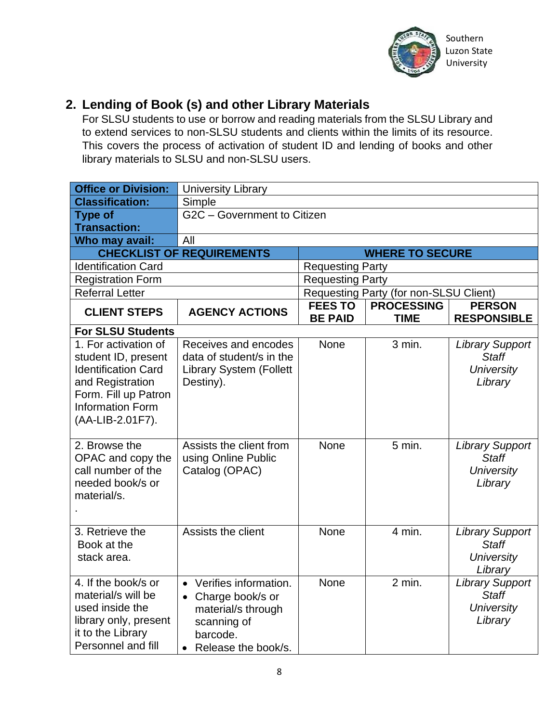

#### **2. Lending of Book (s) and other Library Materials**

For SLSU students to use or borrow and reading materials from the SLSU Library and to extend services to non-SLSU students and clients within the limits of its resource. This covers the process of activation of student ID and lending of books and other library materials to SLSU and non-SLSU users.

| <b>Office or Division:</b>                                                                                                                                           | <b>University Library</b>                                                                                               |                                  |                                        |                                                                        |
|----------------------------------------------------------------------------------------------------------------------------------------------------------------------|-------------------------------------------------------------------------------------------------------------------------|----------------------------------|----------------------------------------|------------------------------------------------------------------------|
| <b>Classification:</b>                                                                                                                                               | Simple                                                                                                                  |                                  |                                        |                                                                        |
| <b>Type of</b>                                                                                                                                                       | G2C - Government to Citizen                                                                                             |                                  |                                        |                                                                        |
| <b>Transaction:</b>                                                                                                                                                  |                                                                                                                         |                                  |                                        |                                                                        |
| Who may avail:                                                                                                                                                       | All                                                                                                                     |                                  |                                        |                                                                        |
|                                                                                                                                                                      | <b>CHECKLIST OF REQUIREMENTS</b>                                                                                        |                                  | <b>WHERE TO SECURE</b>                 |                                                                        |
| <b>Identification Card</b>                                                                                                                                           | <b>Requesting Party</b>                                                                                                 |                                  |                                        |                                                                        |
| <b>Registration Form</b>                                                                                                                                             |                                                                                                                         | <b>Requesting Party</b>          |                                        |                                                                        |
| <b>Referral Letter</b>                                                                                                                                               |                                                                                                                         |                                  | Requesting Party (for non-SLSU Client) |                                                                        |
| <b>CLIENT STEPS</b>                                                                                                                                                  | <b>AGENCY ACTIONS</b>                                                                                                   | <b>FEES TO</b><br><b>BE PAID</b> | <b>PROCESSING</b><br><b>TIME</b>       | <b>PERSON</b><br><b>RESPONSIBLE</b>                                    |
| <b>For SLSU Students</b>                                                                                                                                             |                                                                                                                         |                                  |                                        |                                                                        |
| 1. For activation of<br>student ID, present<br><b>Identification Card</b><br>and Registration<br>Form. Fill up Patron<br><b>Information Form</b><br>(AA-LIB-2.01F7). | Receives and encodes<br>data of student/s in the<br><b>Library System (Follett</b><br>Destiny).                         | <b>None</b>                      | 3 min.                                 | <b>Library Support</b><br><b>Staff</b><br><b>University</b><br>Library |
| 2. Browse the<br>OPAC and copy the<br>call number of the<br>needed book/s or<br>material/s.                                                                          | Assists the client from<br>using Online Public<br>Catalog (OPAC)                                                        | <b>None</b>                      | 5 min.                                 | <b>Library Support</b><br><b>Staff</b><br><b>University</b><br>Library |
| 3. Retrieve the<br>Book at the<br>stack area.                                                                                                                        | Assists the client                                                                                                      | None                             | 4 min.                                 | <b>Library Support</b><br><b>Staff</b><br><b>University</b><br>Library |
| 4. If the book/s or<br>material/s will be<br>used inside the<br>library only, present<br>it to the Library<br>Personnel and fill                                     | • Verifies information.<br>• Charge book/s or<br>material/s through<br>scanning of<br>barcode.<br>• Release the book/s. | <b>None</b>                      | $2$ min.                               | <b>Library Support</b><br><b>Staff</b><br><b>University</b><br>Library |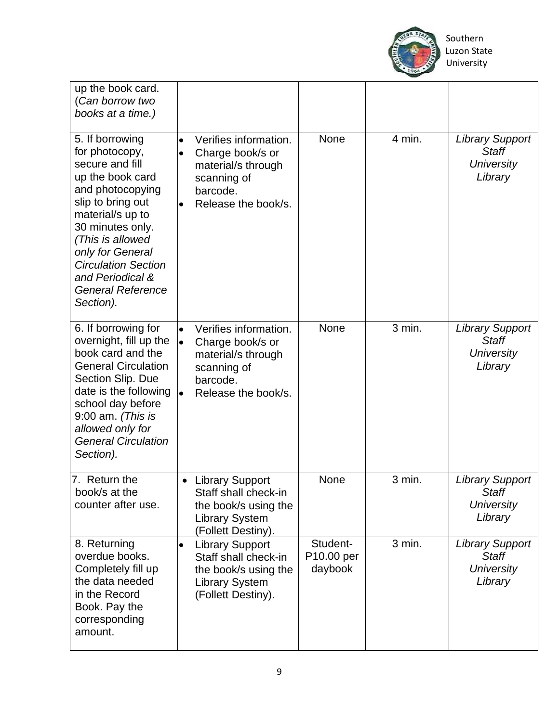

| up the book card.<br>(Can borrow two<br>books at a time.)                                                                                                                                                                                                                                    |                                                                                                                                                          |                                   |        |                                                                        |
|----------------------------------------------------------------------------------------------------------------------------------------------------------------------------------------------------------------------------------------------------------------------------------------------|----------------------------------------------------------------------------------------------------------------------------------------------------------|-----------------------------------|--------|------------------------------------------------------------------------|
| 5. If borrowing<br>for photocopy,<br>secure and fill<br>up the book card<br>and photocopying<br>slip to bring out<br>material/s up to<br>30 minutes only.<br>(This is allowed<br>only for General<br><b>Circulation Section</b><br>and Periodical &<br><b>General Reference</b><br>Section). | Verifies information.<br>$\bullet$<br>Charge book/s or<br>material/s through<br>scanning of<br>barcode.<br>Release the book/s.<br>$\bullet$              | <b>None</b>                       | 4 min. | <b>Library Support</b><br><b>Staff</b><br><b>University</b><br>Library |
| 6. If borrowing for<br>overnight, fill up the<br>book card and the<br><b>General Circulation</b><br>Section Slip. Due<br>date is the following<br>school day before<br>$9:00$ am. (This is<br>allowed only for<br><b>General Circulation</b><br>Section).                                    | Verifies information.<br>$\bullet$<br>Charge book/s or<br>$\bullet$<br>material/s through<br>scanning of<br>barcode.<br>Release the book/s.<br>$\bullet$ | <b>None</b>                       | 3 min. | <b>Library Support</b><br><b>Staff</b><br><b>University</b><br>Library |
| 7. Return the<br>book/s at the<br>counter after use.                                                                                                                                                                                                                                         | <b>Library Support</b><br>Staff shall check-in<br>the book/s using the<br><b>Library System</b><br>(Follett Destiny).                                    | None                              | 3 min. | <b>Library Support</b><br>Staff<br>University<br>Library               |
| 8. Returning<br>overdue books.<br>Completely fill up<br>the data needed<br>in the Record<br>Book. Pay the<br>corresponding<br>amount.                                                                                                                                                        | <b>Library Support</b><br>$\bullet$<br>Staff shall check-in<br>the book/s using the<br><b>Library System</b><br>(Follett Destiny).                       | Student-<br>P10.00 per<br>daybook | 3 min. | <b>Library Support</b><br>Staff<br><b>University</b><br>Library        |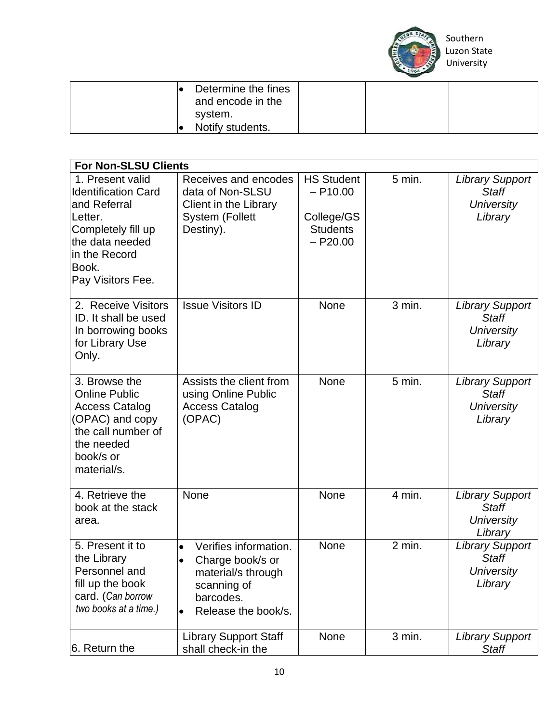

| Determine the fines<br>and encode in the |  |  |
|------------------------------------------|--|--|
| system.                                  |  |  |
| Notify students.                         |  |  |

| <b>For Non-SLSU Clients</b>                                                                                                                                       |                                                                                                                                 |                                                                                |          |                                                                        |
|-------------------------------------------------------------------------------------------------------------------------------------------------------------------|---------------------------------------------------------------------------------------------------------------------------------|--------------------------------------------------------------------------------|----------|------------------------------------------------------------------------|
| 1. Present valid<br><b>Identification Card</b><br>and Referral<br>Letter.<br>Completely fill up<br>the data needed<br>in the Record<br>Book.<br>Pay Visitors Fee. | Receives and encodes<br>data of Non-SLSU<br>Client in the Library<br><b>System (Follett</b><br>Destiny).                        | <b>HS Student</b><br>$- P10.00$<br>College/GS<br><b>Students</b><br>$-$ P20.00 | $5$ min. | <b>Library Support</b><br><b>Staff</b><br><b>University</b><br>Library |
| 2. Receive Visitors<br>ID. It shall be used<br>In borrowing books<br>for Library Use<br>Only.                                                                     | <b>Issue Visitors ID</b>                                                                                                        | None                                                                           | 3 min.   | <b>Library Support</b><br><b>Staff</b><br><b>University</b><br>Library |
| 3. Browse the<br><b>Online Public</b><br><b>Access Catalog</b><br>(OPAC) and copy<br>the call number of<br>the needed<br>book/s or<br>material/s.                 | Assists the client from<br>using Online Public<br><b>Access Catalog</b><br>(OPAC)                                               | None                                                                           | $5$ min. | <b>Library Support</b><br><b>Staff</b><br><b>University</b><br>Library |
| 4. Retrieve the<br>book at the stack<br>area.                                                                                                                     | None                                                                                                                            | None                                                                           | 4 min.   | <b>Library Support</b><br><b>Staff</b><br><b>University</b><br>Library |
| 5. Present it to<br>the Library<br>Personnel and<br>fill up the book<br>card. (Can borrow<br>two books at a time.)                                                | Verifies information.<br>Charge book/s or<br>material/s through<br>scanning of<br>barcodes.<br>Release the book/s.<br>$\bullet$ | None                                                                           | $2$ min. | <b>Library Support</b><br><b>Staff</b><br><b>University</b><br>Library |
| 6. Return the                                                                                                                                                     | <b>Library Support Staff</b><br>shall check-in the                                                                              | None                                                                           | 3 min.   | <b>Library Support</b><br><b>Staff</b>                                 |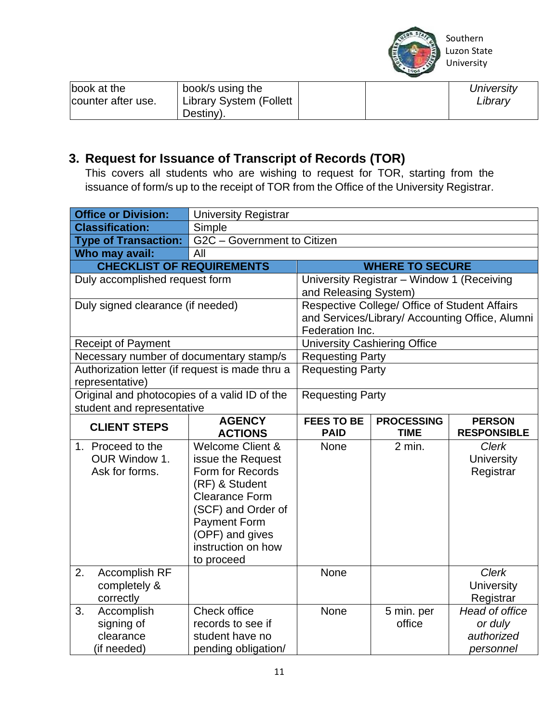

| book at the<br>counter after use. | book/s using the<br>Library System (Follett<br>Destiny). |  |  | University<br>Library |
|-----------------------------------|----------------------------------------------------------|--|--|-----------------------|
|-----------------------------------|----------------------------------------------------------|--|--|-----------------------|

#### **3. Request for Issuance of Transcript of Records (TOR)**

This covers all students who are wishing to request for TOR, starting from the issuance of form/s up to the receipt of TOR from the Office of the University Registrar.

| <b>Office or Division:</b>                      | <b>University Registrar</b>            |                                     |                                               |                                                 |
|-------------------------------------------------|----------------------------------------|-------------------------------------|-----------------------------------------------|-------------------------------------------------|
| <b>Classification:</b>                          | Simple                                 |                                     |                                               |                                                 |
| <b>Type of Transaction:</b>                     | G2C - Government to Citizen            |                                     |                                               |                                                 |
| Who may avail:                                  | All                                    |                                     |                                               |                                                 |
| <b>CHECKLIST OF REQUIREMENTS</b>                |                                        |                                     | <b>WHERE TO SECURE</b>                        |                                                 |
| Duly accomplished request form                  |                                        |                                     | University Registrar - Window 1 (Receiving    |                                                 |
|                                                 |                                        | and Releasing System)               |                                               |                                                 |
| Duly signed clearance (if needed)               |                                        |                                     | Respective College/ Office of Student Affairs |                                                 |
|                                                 |                                        |                                     |                                               | and Services/Library/ Accounting Office, Alumni |
| Federation Inc.                                 |                                        |                                     |                                               |                                                 |
| <b>Receipt of Payment</b>                       |                                        | <b>University Cashiering Office</b> |                                               |                                                 |
| Necessary number of documentary stamp/s         |                                        | <b>Requesting Party</b>             |                                               |                                                 |
| Authorization letter (if request is made thru a |                                        | <b>Requesting Party</b>             |                                               |                                                 |
| representative)                                 |                                        |                                     |                                               |                                                 |
| Original and photocopies of a valid ID of the   | <b>Requesting Party</b>                |                                     |                                               |                                                 |
| student and representative                      |                                        |                                     |                                               |                                                 |
| <b>CLIENT STEPS</b>                             | <b>AGENCY</b><br><b>ACTIONS</b>        | <b>FEES TO BE</b><br><b>PAID</b>    | <b>PROCESSING</b><br><b>TIME</b>              | <b>PERSON</b><br><b>RESPONSIBLE</b>             |
| 1. Proceed to the                               | Welcome Client &                       | <b>None</b>                         | $2$ min.                                      | <b>Clerk</b>                                    |
| OUR Window 1.                                   | issue the Request                      |                                     |                                               | <b>University</b>                               |
| Ask for forms.                                  | Form for Records                       |                                     |                                               | Registrar                                       |
|                                                 | (RF) & Student                         |                                     |                                               |                                                 |
|                                                 | <b>Clearance Form</b>                  |                                     |                                               |                                                 |
|                                                 | (SCF) and Order of                     |                                     |                                               |                                                 |
|                                                 | <b>Payment Form</b>                    |                                     |                                               |                                                 |
|                                                 |                                        |                                     |                                               |                                                 |
|                                                 | (OPF) and gives                        |                                     |                                               |                                                 |
|                                                 | instruction on how                     |                                     |                                               |                                                 |
|                                                 | to proceed                             |                                     |                                               |                                                 |
| 2.<br>Accomplish RF                             |                                        | <b>None</b>                         |                                               | <b>Clerk</b>                                    |
| completely &                                    |                                        |                                     |                                               | <b>University</b>                               |
| correctly                                       |                                        |                                     |                                               | Registrar                                       |
| 3.<br>Accomplish                                | Check office                           | None                                | 5 min. per                                    | Head of office                                  |
| signing of                                      | records to see if                      |                                     | office                                        | or duly                                         |
| clearance<br>(if needed)                        | student have no<br>pending obligation/ |                                     |                                               | authorized<br>personnel                         |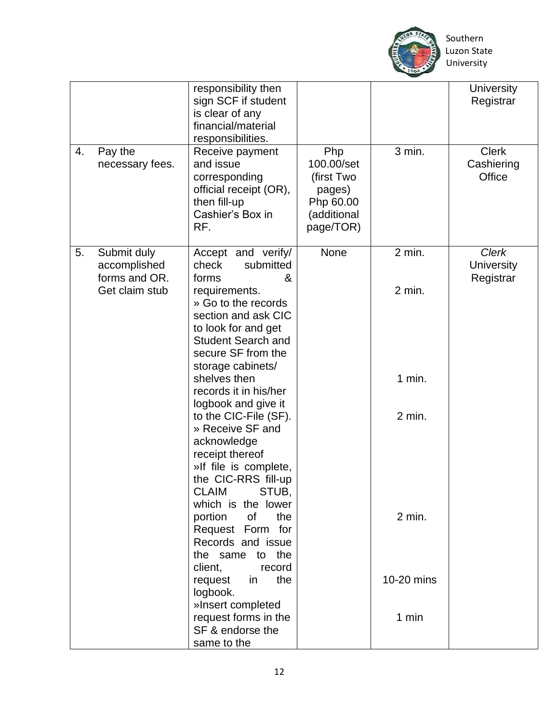

|    |                                                                | responsibility then<br>sign SCF if student<br>is clear of any<br>financial/material<br>responsibilities.                                                                                                                                                                                                                                                                                                                                                                                                                                                                                                                                                                   |                                                                                    |                                                                         | <b>University</b><br>Registrar                 |
|----|----------------------------------------------------------------|----------------------------------------------------------------------------------------------------------------------------------------------------------------------------------------------------------------------------------------------------------------------------------------------------------------------------------------------------------------------------------------------------------------------------------------------------------------------------------------------------------------------------------------------------------------------------------------------------------------------------------------------------------------------------|------------------------------------------------------------------------------------|-------------------------------------------------------------------------|------------------------------------------------|
| 4. | Pay the<br>necessary fees.                                     | Receive payment<br>and issue<br>corresponding<br>official receipt (OR),<br>then fill-up<br>Cashier's Box in<br>RF.                                                                                                                                                                                                                                                                                                                                                                                                                                                                                                                                                         | Php<br>100.00/set<br>(first Two<br>pages)<br>Php 60.00<br>(additional<br>page/TOR) | 3 min.                                                                  | <b>Clerk</b><br>Cashiering<br>Office           |
| 5. | Submit duly<br>accomplished<br>forms and OR.<br>Get claim stub | Accept and verify/<br>submitted<br>check<br>forms<br>&<br>requirements.<br>» Go to the records<br>section and ask CIC<br>to look for and get<br><b>Student Search and</b><br>secure SF from the<br>storage cabinets/<br>shelves then<br>records it in his/her<br>logbook and give it<br>to the CIC-File (SF).<br>» Receive SF and<br>acknowledge<br>receipt thereof<br>»If file is complete,<br>the CIC-RRS fill-up<br><b>CLAIM</b><br>STUB,<br>which is the lower<br>the<br>portion of<br>Request Form for<br>Records and issue<br>the same to the<br>client,<br>record<br>the<br>request in<br>logbook.<br>»Insert completed<br>request forms in the<br>SF & endorse the | <b>None</b>                                                                        | 2 min.<br>2 min.<br>$1$ min.<br>2 min.<br>2 min.<br>10-20 mins<br>1 min | <b>Clerk</b><br><b>University</b><br>Registrar |
|    |                                                                | same to the                                                                                                                                                                                                                                                                                                                                                                                                                                                                                                                                                                                                                                                                |                                                                                    |                                                                         |                                                |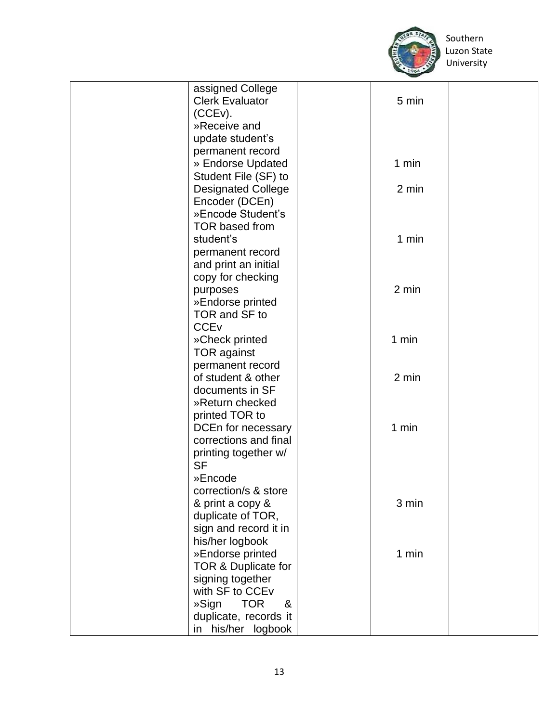

 Southern University

| assigned College                   |  |
|------------------------------------|--|
| <b>Clerk Evaluator</b><br>5 min    |  |
| (CCEv).                            |  |
| »Receive and                       |  |
| update student's                   |  |
| permanent record                   |  |
| » Endorse Updated<br>1 min         |  |
| Student File (SF) to               |  |
| <b>Designated College</b><br>2 min |  |
| Encoder (DCEn)                     |  |
| »Encode Student's                  |  |
| <b>TOR based from</b>              |  |
|                                    |  |
| student's<br>1 min                 |  |
| permanent record                   |  |
| and print an initial               |  |
| copy for checking                  |  |
| 2 min<br>purposes                  |  |
| »Endorse printed                   |  |
| TOR and SF to                      |  |
| <b>CCE<sub>v</sub></b>             |  |
| 1 min<br>»Check printed            |  |
| <b>TOR against</b>                 |  |
| permanent record                   |  |
| 2 min<br>of student & other        |  |
| documents in SF                    |  |
| »Return checked                    |  |
| printed TOR to                     |  |
| DCEn for necessary<br>1 min        |  |
| corrections and final              |  |
| printing together w/               |  |
| <b>SF</b>                          |  |
| »Encode                            |  |
| correction/s & store               |  |
|                                    |  |
| & print a copy &<br>3 min          |  |
| duplicate of TOR,                  |  |
| sign and record it in              |  |
| his/her logbook                    |  |
| »Endorse printed<br>1 min          |  |
| TOR & Duplicate for                |  |
| signing together                   |  |
| with SF to CCEv                    |  |
| <b>TOR</b><br>»Sign<br>&           |  |
| duplicate, records it              |  |
| in his/her logbook                 |  |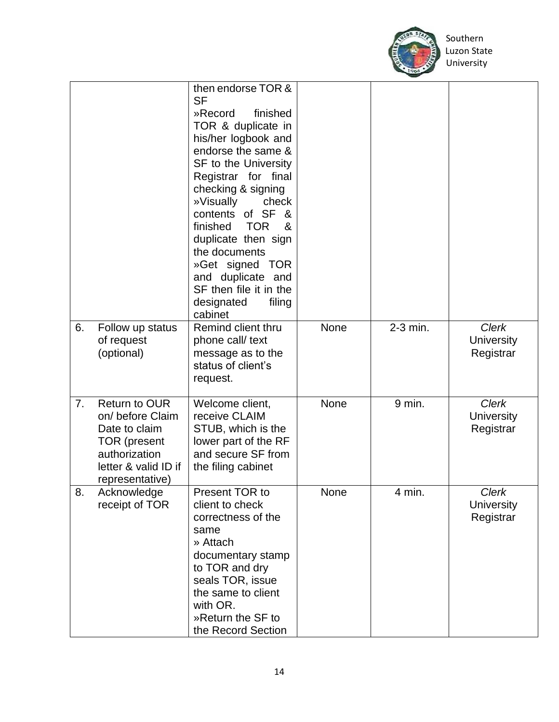

|    |                                                                                                                                              | then endorse TOR &<br><b>SF</b><br>finished<br>»Record<br>TOR & duplicate in<br>his/her logbook and<br>endorse the same &<br><b>SF to the University</b><br>Registrar for final<br>checking & signing<br>»Visually<br>check<br>contents of SF<br>- &<br><b>TOR</b><br>finished<br>&<br>duplicate then sign<br>the documents<br>»Get signed TOR<br>and duplicate and<br>SF then file it in the<br>designated<br>filing |      |          |                                                |
|----|----------------------------------------------------------------------------------------------------------------------------------------------|-----------------------------------------------------------------------------------------------------------------------------------------------------------------------------------------------------------------------------------------------------------------------------------------------------------------------------------------------------------------------------------------------------------------------|------|----------|------------------------------------------------|
| 6. | Follow up status<br>of request<br>(optional)                                                                                                 | cabinet<br>Remind client thru<br>phone call/ text<br>message as to the<br>status of client's<br>request.                                                                                                                                                                                                                                                                                                              | None | 2-3 min. | <b>Clerk</b><br><b>University</b><br>Registrar |
| 7. | <b>Return to OUR</b><br>on/ before Claim<br>Date to claim<br><b>TOR</b> (present<br>authorization<br>letter & valid ID if<br>representative) | Welcome client,<br>receive CLAIM<br>STUB, which is the<br>lower part of the RF<br>and secure SF from<br>the filing cabinet                                                                                                                                                                                                                                                                                            | None | 9 min.   | <b>Clerk</b><br><b>University</b><br>Registrar |
| 8. | Acknowledge<br>receipt of TOR                                                                                                                | Present TOR to<br>client to check<br>correctness of the<br>same<br>» Attach<br>documentary stamp<br>to TOR and dry<br>seals TOR, issue<br>the same to client<br>with OR.<br>»Return the SF to<br>the Record Section                                                                                                                                                                                                   | None | 4 min.   | Clerk<br><b>University</b><br>Registrar        |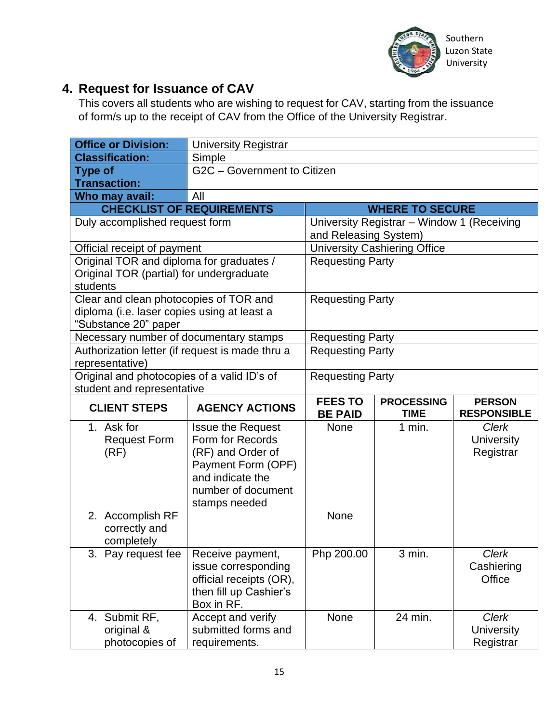

#### **4. Request for Issuance of CAV**

This covers all students who are wishing to request for CAV, starting from the issuance of form/s up to the receipt of CAV from the Office of the University Registrar.

|                | <b>Office or Division:</b>                      | <b>University Registrar</b>                                                                                                                        |                                  |                                            |                                                |
|----------------|-------------------------------------------------|----------------------------------------------------------------------------------------------------------------------------------------------------|----------------------------------|--------------------------------------------|------------------------------------------------|
|                | <b>Classification:</b>                          | Simple                                                                                                                                             |                                  |                                            |                                                |
| <b>Type of</b> |                                                 | G2C - Government to Citizen                                                                                                                        |                                  |                                            |                                                |
|                | <b>Transaction:</b>                             |                                                                                                                                                    |                                  |                                            |                                                |
|                | Who may avail:                                  | All                                                                                                                                                |                                  |                                            |                                                |
|                |                                                 | <b>CHECKLIST OF REQUIREMENTS</b>                                                                                                                   |                                  | <b>WHERE TO SECURE</b>                     |                                                |
|                | Duly accomplished request form                  |                                                                                                                                                    | and Releasing System)            | University Registrar - Window 1 (Receiving |                                                |
|                | Official receipt of payment                     |                                                                                                                                                    |                                  | <b>University Cashiering Office</b>        |                                                |
| students       | Original TOR (partial) for undergraduate        | Original TOR and diploma for graduates /                                                                                                           | <b>Requesting Party</b>          |                                            |                                                |
|                | "Substance 20" paper                            | Clear and clean photocopies of TOR and<br>diploma (i.e. laser copies using at least a                                                              | <b>Requesting Party</b>          |                                            |                                                |
|                |                                                 | Necessary number of documentary stamps                                                                                                             | <b>Requesting Party</b>          |                                            |                                                |
|                | representative)                                 | Authorization letter (if request is made thru a                                                                                                    | <b>Requesting Party</b>          |                                            |                                                |
|                | student and representative                      | Original and photocopies of a valid ID's of                                                                                                        | <b>Requesting Party</b>          |                                            |                                                |
|                | <b>CLIENT STEPS</b>                             | <b>AGENCY ACTIONS</b>                                                                                                                              | <b>FEES TO</b><br><b>BE PAID</b> | <b>PROCESSING</b><br><b>TIME</b>           | <b>PERSON</b><br><b>RESPONSIBLE</b>            |
|                | 1. Ask for<br><b>Request Form</b><br>(RF)       | <b>Issue the Request</b><br>Form for Records<br>(RF) and Order of<br>Payment Form (OPF)<br>and indicate the<br>number of document<br>stamps needed | <b>None</b>                      | $1$ min.                                   | <b>Clerk</b><br><b>University</b><br>Registrar |
|                | 2. Accomplish RF<br>correctly and<br>completely |                                                                                                                                                    | None                             |                                            |                                                |
|                | 3. Pay request fee                              | Receive payment,<br>issue corresponding<br>official receipts (OR),<br>then fill up Cashier's<br>Box in RF.                                         | Php 200.00                       | 3 min.                                     | <b>Clerk</b><br>Cashiering<br>Office           |
|                | 4. Submit RF,                                   | Accept and verify                                                                                                                                  | None                             | 24 min.                                    | <b>Clerk</b>                                   |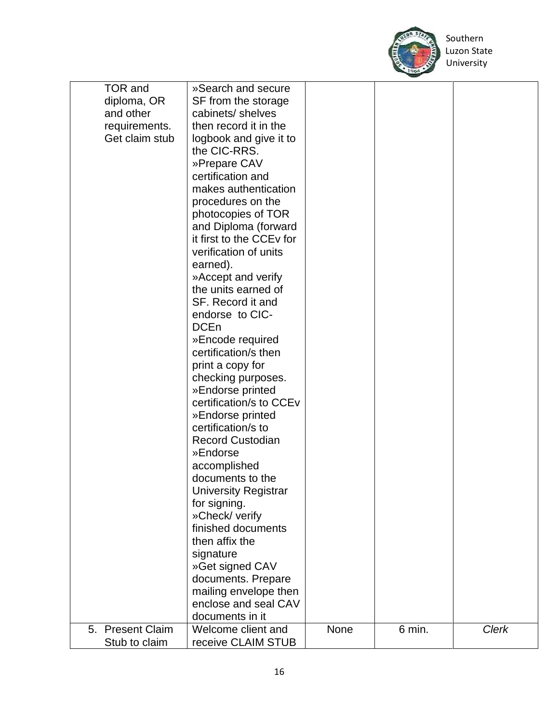

| <b>Clerk</b> |
|--------------|
|              |
|              |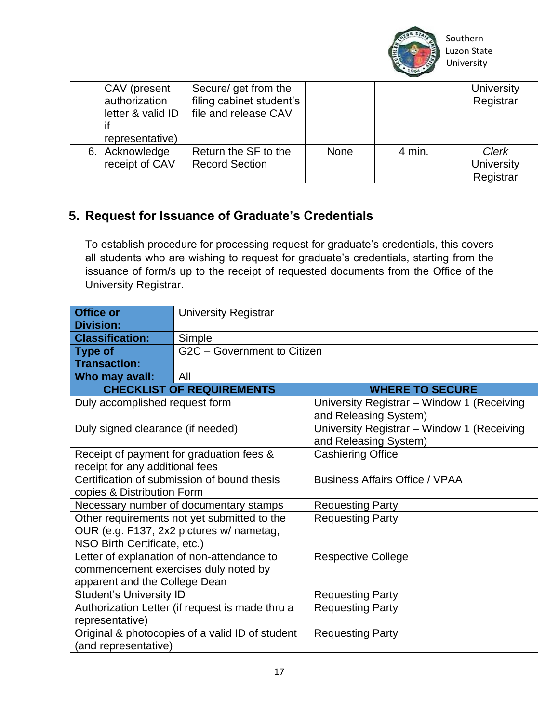

| CAV (present<br>authorization<br>letter & valid ID<br>representative) | Secure/ get from the<br>filing cabinet student's<br>file and release CAV |      |        | <b>University</b><br>Registrar          |
|-----------------------------------------------------------------------|--------------------------------------------------------------------------|------|--------|-----------------------------------------|
| 6. Acknowledge<br>receipt of CAV                                      | Return the SF to the<br><b>Record Section</b>                            | None | 4 min. | Clerk<br><b>University</b><br>Registrar |

#### **5. Request for Issuance of Graduate's Credentials**

To establish procedure for processing request for graduate's credentials, this covers all students who are wishing to request for graduate's credentials, starting from the issuance of form/s up to the receipt of requested documents from the Office of the University Registrar.

| <b>Office or</b><br><b>Division:</b>                                      | <b>University Registrar</b>                     |                                                                     |  |  |
|---------------------------------------------------------------------------|-------------------------------------------------|---------------------------------------------------------------------|--|--|
| <b>Classification:</b>                                                    | Simple                                          |                                                                     |  |  |
| <b>Type of</b>                                                            | G2C - Government to Citizen                     |                                                                     |  |  |
| <b>Transaction:</b>                                                       |                                                 |                                                                     |  |  |
| Who may avail:                                                            | All                                             |                                                                     |  |  |
|                                                                           | <b>CHECKLIST OF REQUIREMENTS</b>                | <b>WHERE TO SECURE</b>                                              |  |  |
| Duly accomplished request form                                            |                                                 | University Registrar - Window 1 (Receiving<br>and Releasing System) |  |  |
| Duly signed clearance (if needed)                                         |                                                 | University Registrar - Window 1 (Receiving<br>and Releasing System) |  |  |
|                                                                           | Receipt of payment for graduation fees &        | <b>Cashiering Office</b>                                            |  |  |
| receipt for any additional fees                                           |                                                 |                                                                     |  |  |
| Certification of submission of bound thesis<br>copies & Distribution Form |                                                 | <b>Business Affairs Office / VPAA</b>                               |  |  |
|                                                                           | Necessary number of documentary stamps          | <b>Requesting Party</b>                                             |  |  |
|                                                                           | Other requirements not yet submitted to the     | <b>Requesting Party</b>                                             |  |  |
|                                                                           | OUR (e.g. F137, 2x2 pictures w/ nametag,        |                                                                     |  |  |
| NSO Birth Certificate, etc.)                                              |                                                 |                                                                     |  |  |
|                                                                           | Letter of explanation of non-attendance to      | <b>Respective College</b>                                           |  |  |
| commencement exercises duly noted by                                      |                                                 |                                                                     |  |  |
| apparent and the College Dean                                             |                                                 |                                                                     |  |  |
| <b>Student's University ID</b>                                            |                                                 | <b>Requesting Party</b>                                             |  |  |
| Authorization Letter (if request is made thru a                           |                                                 | <b>Requesting Party</b>                                             |  |  |
| representative)                                                           |                                                 |                                                                     |  |  |
|                                                                           | Original & photocopies of a valid ID of student | <b>Requesting Party</b>                                             |  |  |
| (and representative)                                                      |                                                 |                                                                     |  |  |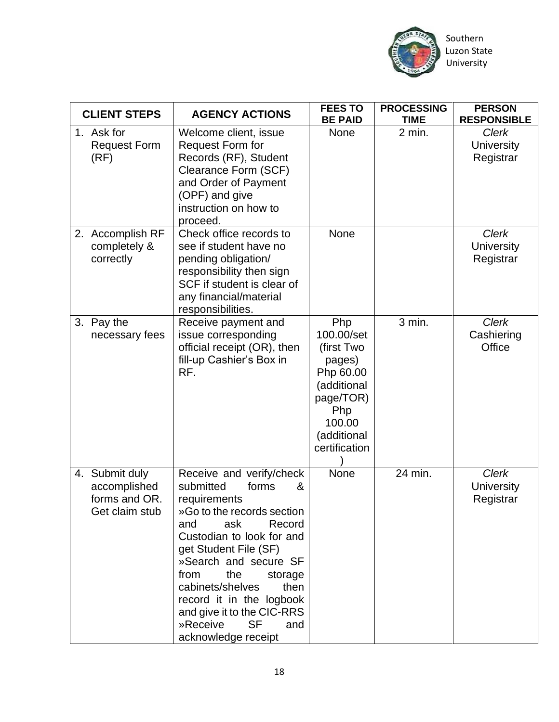

| Southern    |
|-------------|
| Luzon State |
| University  |

| <b>CLIENT STEPS</b>                                               | <b>AGENCY ACTIONS</b>                                                                                                                                                                                                                                                                                                                                                           | <b>FEES TO</b><br><b>BE PAID</b>                                                                                                    | <b>PROCESSING</b><br><b>TIME</b> | <b>PERSON</b><br><b>RESPONSIBLE</b>            |
|-------------------------------------------------------------------|---------------------------------------------------------------------------------------------------------------------------------------------------------------------------------------------------------------------------------------------------------------------------------------------------------------------------------------------------------------------------------|-------------------------------------------------------------------------------------------------------------------------------------|----------------------------------|------------------------------------------------|
| 1. Ask for<br><b>Request Form</b><br>(RF)                         | Welcome client, issue<br><b>Request Form for</b><br>Records (RF), Student<br>Clearance Form (SCF)<br>and Order of Payment<br>(OPF) and give<br>instruction on how to<br>proceed.                                                                                                                                                                                                | None                                                                                                                                | 2 min.                           | <b>Clerk</b><br><b>University</b><br>Registrar |
| 2. Accomplish RF<br>completely &<br>correctly                     | Check office records to<br>see if student have no<br>pending obligation/<br>responsibility then sign<br>SCF if student is clear of<br>any financial/material<br>responsibilities.                                                                                                                                                                                               | None                                                                                                                                |                                  | <b>Clerk</b><br><b>University</b><br>Registrar |
| 3. Pay the<br>necessary fees                                      | Receive payment and<br>issue corresponding<br>official receipt (OR), then<br>fill-up Cashier's Box in<br>RF.                                                                                                                                                                                                                                                                    | Php<br>100.00/set<br>(first Two<br>pages)<br>Php 60.00<br>(additional<br>page/TOR)<br>Php<br>100.00<br>(additional<br>certification | 3 min.                           | <b>Clerk</b><br>Cashiering<br>Office           |
| 4. Submit duly<br>accomplished<br>forms and OR.<br>Get claim stub | Receive and verify/check<br>submitted<br>forms<br>&<br>requirements<br>»Go to the records section<br>ask<br>Record<br>and<br>Custodian to look for and<br>get Student File (SF)<br>»Search and secure SF<br>the<br>from<br>storage<br>cabinets/shelves<br>then<br>record it in the logbook<br>and give it to the CIC-RRS<br>»Receive<br><b>SF</b><br>and<br>acknowledge receipt | None                                                                                                                                | 24 min.                          | Clerk<br><b>University</b><br>Registrar        |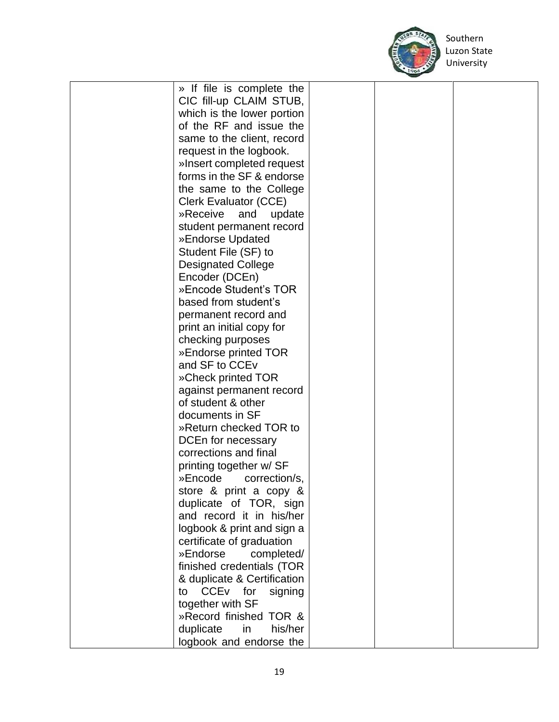

 Southern University

| » If file is complete the             |  |  |
|---------------------------------------|--|--|
| CIC fill-up CLAIM STUB,               |  |  |
| which is the lower portion            |  |  |
| of the RF and issue the               |  |  |
| same to the client, record            |  |  |
|                                       |  |  |
| request in the logbook.               |  |  |
| »Insert completed request             |  |  |
| forms in the SF & endorse             |  |  |
| the same to the College               |  |  |
| <b>Clerk Evaluator (CCE)</b>          |  |  |
| »Receive<br>and<br>update             |  |  |
| student permanent record              |  |  |
| »Endorse Updated                      |  |  |
| Student File (SF) to                  |  |  |
| <b>Designated College</b>             |  |  |
| Encoder (DCEn)                        |  |  |
| »Encode Student's TOR                 |  |  |
| based from student's                  |  |  |
|                                       |  |  |
| permanent record and                  |  |  |
| print an initial copy for             |  |  |
| checking purposes                     |  |  |
| »Endorse printed TOR                  |  |  |
| and SF to CCE <sub>V</sub>            |  |  |
| »Check printed TOR                    |  |  |
| against permanent record              |  |  |
| of student & other                    |  |  |
| documents in SF                       |  |  |
| »Return checked TOR to                |  |  |
| DCEn for necessary                    |  |  |
| corrections and final                 |  |  |
| printing together w/ SF               |  |  |
| »Encode<br>correction/s,              |  |  |
| store & print a copy &                |  |  |
| duplicate of TOR, sign                |  |  |
| and record it in his/her              |  |  |
|                                       |  |  |
| logbook & print and sign a            |  |  |
| certificate of graduation             |  |  |
| »Endorse<br>completed/                |  |  |
| finished credentials (TOR             |  |  |
| & duplicate & Certification           |  |  |
| CCE <sub>v</sub> for<br>to<br>signing |  |  |
| together with SF                      |  |  |
| »Record finished TOR &                |  |  |
| duplicate<br>in<br>his/her            |  |  |
| logbook and endorse the               |  |  |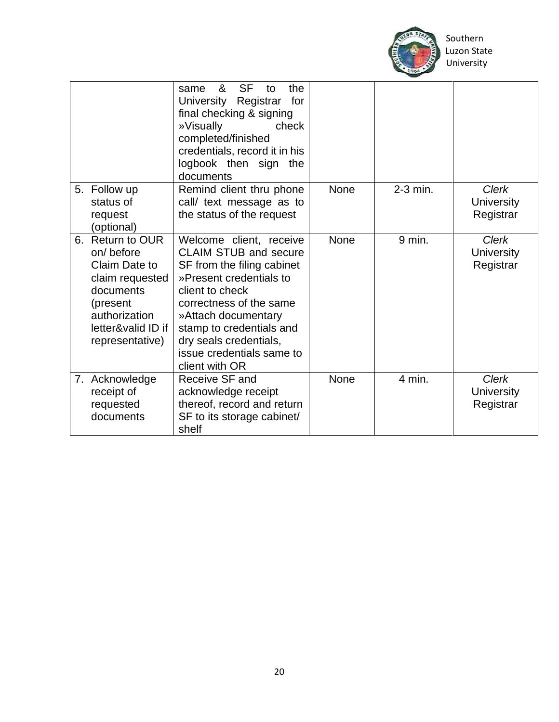

 Southern University

|                                                                                                                                                       | <b>SF</b><br>&<br>to<br>the<br>same<br>University Registrar<br>for<br>final checking & signing<br>»Visually<br>check<br>completed/finished<br>credentials, record it in his<br>logbook then sign the<br>documents                                                                          |             |          |                                                |
|-------------------------------------------------------------------------------------------------------------------------------------------------------|--------------------------------------------------------------------------------------------------------------------------------------------------------------------------------------------------------------------------------------------------------------------------------------------|-------------|----------|------------------------------------------------|
| 5. Follow up<br>status of<br>request<br>(optional)                                                                                                    | Remind client thru phone<br>call/ text message as to<br>the status of the request                                                                                                                                                                                                          | <b>None</b> | 2-3 min. | <b>Clerk</b><br><b>University</b><br>Registrar |
| 6. Return to OUR<br>on/before<br>Claim Date to<br>claim requested<br>documents<br>(present)<br>authorization<br>letter&valid ID if<br>representative) | Welcome client, receive<br><b>CLAIM STUB and secure</b><br>SF from the filing cabinet<br>»Present credentials to<br>client to check<br>correctness of the same<br>»Attach documentary<br>stamp to credentials and<br>dry seals credentials,<br>issue credentials same to<br>client with OR | None        | $9$ min. | <b>Clerk</b><br><b>University</b><br>Registrar |
| 7. Acknowledge<br>receipt of<br>requested<br>documents                                                                                                | Receive SF and<br>acknowledge receipt<br>thereof, record and return<br>SF to its storage cabinet/<br>shelf                                                                                                                                                                                 | None        | 4 min.   | <b>Clerk</b><br><b>University</b><br>Registrar |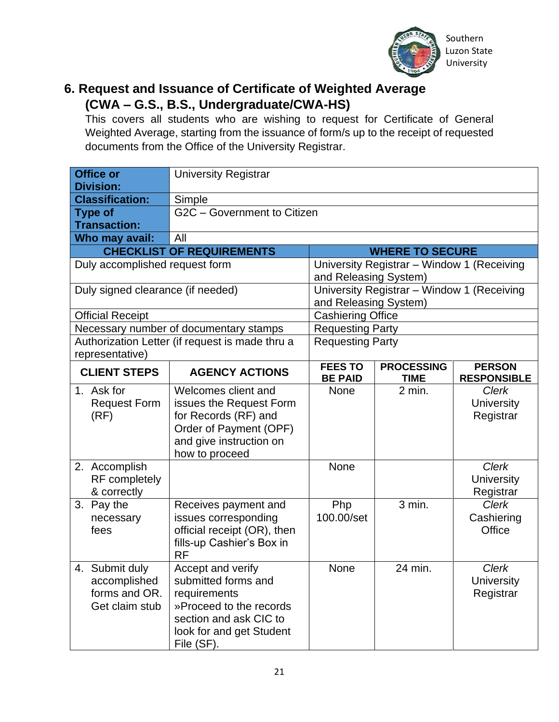

#### **6. Request and Issuance of Certificate of Weighted Average (CWA – G.S., B.S., Undergraduate/CWA-HS)**

This covers all students who are wishing to request for Certificate of General Weighted Average, starting from the issuance of form/s up to the receipt of requested documents from the Office of the University Registrar.

| <b>Office or</b><br><b>Division:</b>                              | <b>University Registrar</b>                                                                                                                             |                                  |                                            |                                                |
|-------------------------------------------------------------------|---------------------------------------------------------------------------------------------------------------------------------------------------------|----------------------------------|--------------------------------------------|------------------------------------------------|
| <b>Classification:</b>                                            | Simple                                                                                                                                                  |                                  |                                            |                                                |
| <b>Type of</b>                                                    | G2C - Government to Citizen                                                                                                                             |                                  |                                            |                                                |
| <b>Transaction:</b>                                               |                                                                                                                                                         |                                  |                                            |                                                |
| Who may avail:                                                    | All                                                                                                                                                     |                                  |                                            |                                                |
|                                                                   | <b>CHECKLIST OF REQUIREMENTS</b>                                                                                                                        |                                  | <b>WHERE TO SECURE</b>                     |                                                |
| Duly accomplished request form                                    |                                                                                                                                                         | and Releasing System)            | University Registrar - Window 1 (Receiving |                                                |
| Duly signed clearance (if needed)                                 |                                                                                                                                                         | and Releasing System)            | University Registrar - Window 1 (Receiving |                                                |
| <b>Official Receipt</b>                                           |                                                                                                                                                         | <b>Cashiering Office</b>         |                                            |                                                |
|                                                                   | Necessary number of documentary stamps                                                                                                                  | <b>Requesting Party</b>          |                                            |                                                |
| representative)                                                   | Authorization Letter (if request is made thru a                                                                                                         | <b>Requesting Party</b>          |                                            |                                                |
| <b>CLIENT STEPS</b>                                               | <b>AGENCY ACTIONS</b>                                                                                                                                   | <b>FEES TO</b><br><b>BE PAID</b> | <b>PROCESSING</b><br><b>TIME</b>           | <b>PERSON</b><br><b>RESPONSIBLE</b>            |
| 1. Ask for<br><b>Request Form</b><br>(RF)                         | Welcomes client and<br>issues the Request Form<br>for Records (RF) and<br>Order of Payment (OPF)<br>and give instruction on<br>how to proceed           | <b>None</b>                      | 2 min.                                     | <b>Clerk</b><br><b>University</b><br>Registrar |
| 2. Accomplish<br>RF completely<br>& correctly                     |                                                                                                                                                         | <b>None</b>                      |                                            | <b>Clerk</b><br><b>University</b><br>Registrar |
| 3. Pay the<br>necessary<br>fees                                   | Receives payment and<br>issues corresponding<br>official receipt (OR), then<br>fills-up Cashier's Box in<br><b>RF</b>                                   | Php<br>100.00/set                | 3 min.                                     | <b>Clerk</b><br>Cashiering<br>Office           |
| 4. Submit duly<br>accomplished<br>forms and OR.<br>Get claim stub | Accept and verify<br>submitted forms and<br>requirements<br>»Proceed to the records<br>section and ask CIC to<br>look for and get Student<br>File (SF). | None                             | 24 min.                                    | <b>Clerk</b><br><b>University</b><br>Registrar |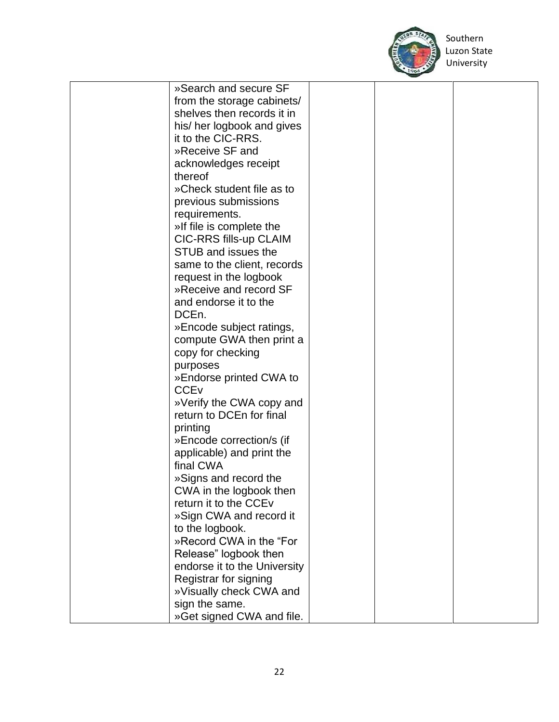

Southern

| »Search and secure SF             |  |  |
|-----------------------------------|--|--|
| from the storage cabinets/        |  |  |
| shelves then records it in        |  |  |
|                                   |  |  |
| his/ her logbook and gives        |  |  |
| it to the CIC-RRS.                |  |  |
| »Receive SF and                   |  |  |
| acknowledges receipt              |  |  |
| thereof                           |  |  |
| »Check student file as to         |  |  |
| previous submissions              |  |  |
| requirements.                     |  |  |
|                                   |  |  |
| »If file is complete the          |  |  |
| CIC-RRS fills-up CLAIM            |  |  |
| STUB and issues the               |  |  |
| same to the client, records       |  |  |
| request in the logbook            |  |  |
| »Receive and record SF            |  |  |
| and endorse it to the             |  |  |
| DCE <sub>n.</sub>                 |  |  |
| »Encode subject ratings,          |  |  |
|                                   |  |  |
| compute GWA then print a          |  |  |
| copy for checking                 |  |  |
| purposes                          |  |  |
| »Endorse printed CWA to           |  |  |
| <b>CCE<sub>V</sub></b>            |  |  |
| »Verify the CWA copy and          |  |  |
| return to DCEn for final          |  |  |
| printing                          |  |  |
| »Encode correction/s (if          |  |  |
| applicable) and print the         |  |  |
| final CWA                         |  |  |
|                                   |  |  |
| »Signs and record the             |  |  |
| CWA in the logbook then           |  |  |
| return it to the CCE <sub>V</sub> |  |  |
| »Sign CWA and record it           |  |  |
| to the logbook.                   |  |  |
| »Record CWA in the "For           |  |  |
| Release" logbook then             |  |  |
| endorse it to the University      |  |  |
| Registrar for signing             |  |  |
| »Visually check CWA and           |  |  |
|                                   |  |  |
| sign the same.                    |  |  |
| »Get signed CWA and file.         |  |  |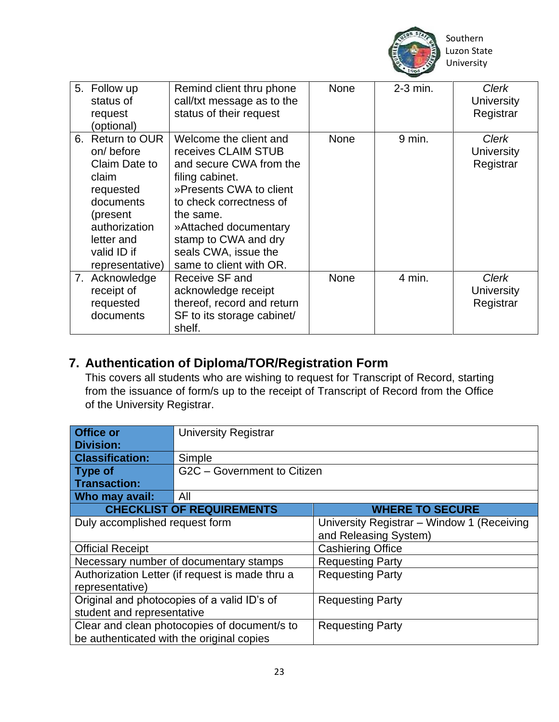

| 5. Follow up<br>status of<br>request<br>(optional)                                                                                                             | Remind client thru phone<br>call/txt message as to the<br>status of their request                                                                                                                                                                                  | <b>None</b> | $2-3$ min. | Clerk<br>University<br>Registrar        |
|----------------------------------------------------------------------------------------------------------------------------------------------------------------|--------------------------------------------------------------------------------------------------------------------------------------------------------------------------------------------------------------------------------------------------------------------|-------------|------------|-----------------------------------------|
| 6. Return to OUR<br>on/before<br>Claim Date to<br>claim<br>requested<br>documents<br>(present<br>authorization<br>letter and<br>valid ID if<br>representative) | Welcome the client and<br>receives CLAIM STUB<br>and secure CWA from the<br>filing cabinet.<br>»Presents CWA to client<br>to check correctness of<br>the same.<br>»Attached documentary<br>stamp to CWA and dry<br>seals CWA, issue the<br>same to client with OR. | None        | $9$ min.   | Clerk<br>University<br>Registrar        |
| 7. Acknowledge<br>receipt of<br>requested<br>documents                                                                                                         | Receive SF and<br>acknowledge receipt<br>thereof, record and return<br>SF to its storage cabinet/<br>shelf.                                                                                                                                                        | <b>None</b> | 4 min.     | <b>Clerk</b><br>University<br>Registrar |

#### **7. Authentication of Diploma/TOR/Registration Form**

This covers all students who are wishing to request for Transcript of Record, starting from the issuance of form/s up to the receipt of Transcript of Record from the Office of the University Registrar.

| <b>Office or</b><br><b>Division:</b>        | <b>University Registrar</b>                     |                                            |  |
|---------------------------------------------|-------------------------------------------------|--------------------------------------------|--|
|                                             |                                                 |                                            |  |
| <b>Classification:</b>                      | Simple                                          |                                            |  |
| <b>Type of</b>                              | G2C - Government to Citizen                     |                                            |  |
| <b>Transaction:</b>                         |                                                 |                                            |  |
| Who may avail:                              | All                                             |                                            |  |
|                                             | <b>CHECKLIST OF REQUIREMENTS</b>                | <b>WHERE TO SECURE</b>                     |  |
| Duly accomplished request form              |                                                 | University Registrar - Window 1 (Receiving |  |
|                                             |                                                 | and Releasing System)                      |  |
| <b>Official Receipt</b>                     |                                                 | <b>Cashiering Office</b>                   |  |
|                                             | Necessary number of documentary stamps          | <b>Requesting Party</b>                    |  |
|                                             | Authorization Letter (if request is made thru a | <b>Requesting Party</b>                    |  |
| representative)                             |                                                 |                                            |  |
| Original and photocopies of a valid ID's of |                                                 | <b>Requesting Party</b>                    |  |
| student and representative                  |                                                 |                                            |  |
|                                             | Clear and clean photocopies of document/s to    | <b>Requesting Party</b>                    |  |
| be authenticated with the original copies   |                                                 |                                            |  |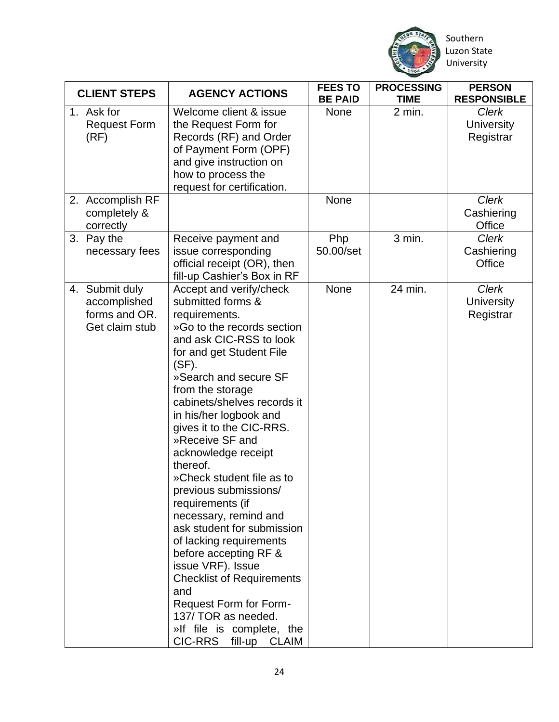

 Southern University

|                    | <b>CLIENT STEPS</b>                                               | <b>AGENCY ACTIONS</b>                                                                                                                                                                                                                                                                                                                                                                                                                                                                                                                                                                                                                                                                                                               | <b>FEES TO</b><br><b>BE PAID</b> | <b>PROCESSING</b><br><b>TIME</b> | <b>PERSON</b><br><b>RESPONSIBLE</b>            |
|--------------------|-------------------------------------------------------------------|-------------------------------------------------------------------------------------------------------------------------------------------------------------------------------------------------------------------------------------------------------------------------------------------------------------------------------------------------------------------------------------------------------------------------------------------------------------------------------------------------------------------------------------------------------------------------------------------------------------------------------------------------------------------------------------------------------------------------------------|----------------------------------|----------------------------------|------------------------------------------------|
| 1. Ask for<br>(RF) | <b>Request Form</b>                                               | Welcome client & issue<br>the Request Form for<br>Records (RF) and Order<br>of Payment Form (OPF)<br>and give instruction on<br>how to process the<br>request for certification.                                                                                                                                                                                                                                                                                                                                                                                                                                                                                                                                                    | <b>None</b>                      | 2 min.                           | <b>Clerk</b><br>University<br>Registrar        |
|                    | 2. Accomplish RF<br>completely &<br>correctly                     |                                                                                                                                                                                                                                                                                                                                                                                                                                                                                                                                                                                                                                                                                                                                     | None                             |                                  | <b>Clerk</b><br>Cashiering<br>Office           |
| 3. Pay the         | necessary fees                                                    | Receive payment and<br>issue corresponding<br>official receipt (OR), then<br>fill-up Cashier's Box in RF                                                                                                                                                                                                                                                                                                                                                                                                                                                                                                                                                                                                                            | Php<br>50.00/set                 | 3 min.                           | <b>Clerk</b><br>Cashiering<br>Office           |
|                    | 4. Submit duly<br>accomplished<br>forms and OR.<br>Get claim stub | Accept and verify/check<br>submitted forms &<br>requirements.<br>»Go to the records section<br>and ask CIC-RSS to look<br>for and get Student File<br>$(SF)$ .<br>»Search and secure SF<br>from the storage<br>cabinets/shelves records it<br>in his/her logbook and<br>gives it to the CIC-RRS.<br>»Receive SF and<br>acknowledge receipt<br>thereof.<br>»Check student file as to<br>previous submissions/<br>requirements (if<br>necessary, remind and<br>ask student for submission<br>of lacking requirements<br>before accepting RF &<br>issue VRF). Issue<br><b>Checklist of Requirements</b><br>and<br><b>Request Form for Form-</b><br>137/ TOR as needed.<br>»If file is complete, the<br><b>CIC-RRS</b><br>fill-up CLAIM | <b>None</b>                      | 24 min.                          | <b>Clerk</b><br><b>University</b><br>Registrar |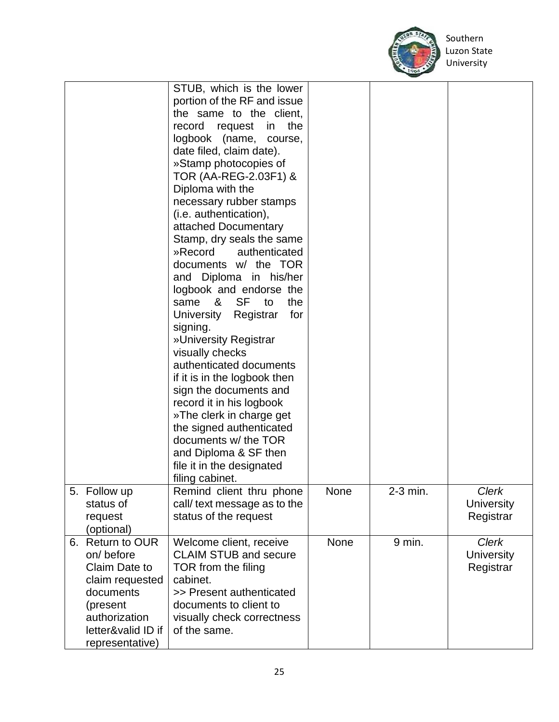

|                                                                                                                                   | STUB, which is the lower<br>portion of the RF and issue<br>the same to the client,<br>the<br>record request<br>in<br>logbook (name, course,<br>date filed, claim date).<br>»Stamp photocopies of<br>TOR (AA-REG-2.03F1) &<br>Diploma with the<br>necessary rubber stamps<br>(i.e. authentication),<br>attached Documentary<br>Stamp, dry seals the same<br>»Record<br>authenticated<br>documents w/ the TOR<br>and Diploma in his/her<br>logbook and endorse the<br>&<br>SF<br>the<br>same<br>to<br>for<br>University<br>Registrar<br>signing.<br>»University Registrar<br>visually checks<br>authenticated documents<br>if it is in the logbook then<br>sign the documents and<br>record it in his logbook<br>»The clerk in charge get<br>the signed authenticated<br>documents w/ the TOR |      |          |                                         |
|-----------------------------------------------------------------------------------------------------------------------------------|---------------------------------------------------------------------------------------------------------------------------------------------------------------------------------------------------------------------------------------------------------------------------------------------------------------------------------------------------------------------------------------------------------------------------------------------------------------------------------------------------------------------------------------------------------------------------------------------------------------------------------------------------------------------------------------------------------------------------------------------------------------------------------------------|------|----------|-----------------------------------------|
|                                                                                                                                   |                                                                                                                                                                                                                                                                                                                                                                                                                                                                                                                                                                                                                                                                                                                                                                                             |      |          |                                         |
|                                                                                                                                   | and Diploma & SF then<br>file it in the designated<br>filing cabinet.                                                                                                                                                                                                                                                                                                                                                                                                                                                                                                                                                                                                                                                                                                                       |      |          |                                         |
| 5. Follow up<br>status of<br>request<br>(optional)                                                                                | Remind client thru phone<br>call/ text message as to the<br>status of the request                                                                                                                                                                                                                                                                                                                                                                                                                                                                                                                                                                                                                                                                                                           | None | 2-3 min. | Clerk<br><b>University</b><br>Registrar |
| 6. Return to OUR<br>on/before<br>Claim Date to<br>claim requested<br>documents<br>(present<br>authorization<br>letter&valid ID if | Welcome client, receive<br><b>CLAIM STUB and secure</b><br>TOR from the filing<br>cabinet.<br>>> Present authenticated<br>documents to client to<br>visually check correctness<br>of the same.                                                                                                                                                                                                                                                                                                                                                                                                                                                                                                                                                                                              | None | 9 min.   | Clerk<br><b>University</b><br>Registrar |
| representative)                                                                                                                   |                                                                                                                                                                                                                                                                                                                                                                                                                                                                                                                                                                                                                                                                                                                                                                                             |      |          |                                         |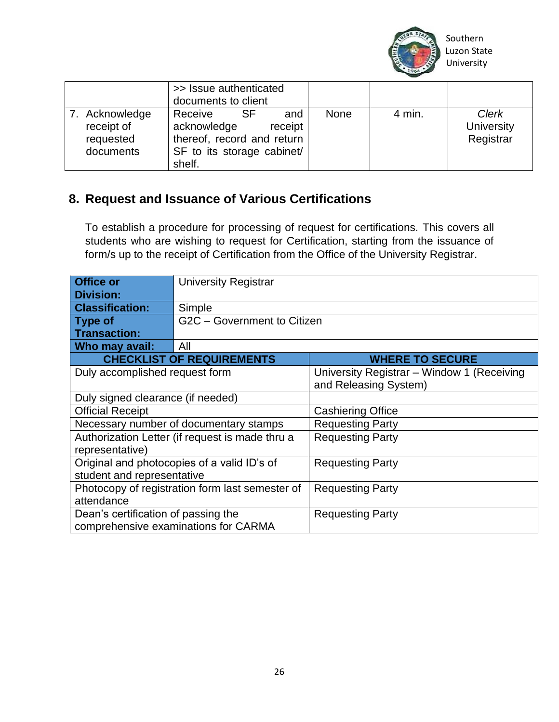

|                                                        | >> Issue authenticated<br>documents to client                                                                               |      |        |                                         |
|--------------------------------------------------------|-----------------------------------------------------------------------------------------------------------------------------|------|--------|-----------------------------------------|
| 7. Acknowledge<br>receipt of<br>requested<br>documents | <b>SF</b><br>Receive<br>and<br>acknowledge<br>receipt<br>thereof, record and return<br>SF to its storage cabinet/<br>shelf. | None | 4 min. | <b>Clerk</b><br>University<br>Registrar |

#### **8. Request and Issuance of Various Certifications**

To establish a procedure for processing of request for certifications. This covers all students who are wishing to request for Certification, starting from the issuance of form/s up to the receipt of Certification from the Office of the University Registrar.

| <b>Office or</b><br><b>Division:</b>            | <b>University Registrar</b>                     |                                                                     |  |  |  |
|-------------------------------------------------|-------------------------------------------------|---------------------------------------------------------------------|--|--|--|
| <b>Classification:</b>                          | Simple                                          |                                                                     |  |  |  |
| Type of                                         | G2C - Government to Citizen                     |                                                                     |  |  |  |
| <b>Transaction:</b>                             |                                                 |                                                                     |  |  |  |
| Who may avail:                                  | All                                             |                                                                     |  |  |  |
|                                                 | <b>CHECKLIST OF REQUIREMENTS</b>                | <b>WHERE TO SECURE</b>                                              |  |  |  |
| Duly accomplished request form                  |                                                 | University Registrar – Window 1 (Receiving<br>and Releasing System) |  |  |  |
| Duly signed clearance (if needed)               |                                                 |                                                                     |  |  |  |
| <b>Official Receipt</b>                         |                                                 | <b>Cashiering Office</b>                                            |  |  |  |
|                                                 | Necessary number of documentary stamps          | <b>Requesting Party</b>                                             |  |  |  |
|                                                 | Authorization Letter (if request is made thru a | <b>Requesting Party</b>                                             |  |  |  |
| representative)                                 |                                                 |                                                                     |  |  |  |
|                                                 | Original and photocopies of a valid ID's of     | <b>Requesting Party</b>                                             |  |  |  |
| student and representative                      |                                                 |                                                                     |  |  |  |
| Photocopy of registration form last semester of |                                                 | <b>Requesting Party</b>                                             |  |  |  |
| attendance                                      |                                                 |                                                                     |  |  |  |
| Dean's certification of passing the             |                                                 | <b>Requesting Party</b>                                             |  |  |  |
| comprehensive examinations for CARMA            |                                                 |                                                                     |  |  |  |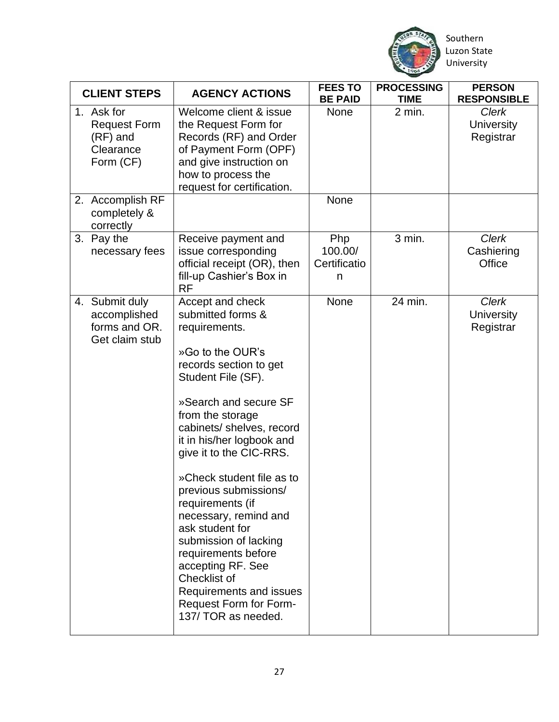

Southern

| <b>CLIENT STEPS</b>                                                     | <b>AGENCY ACTIONS</b>                                                                                                                                                                                                                                                                                                                                                                                                                                                                                                                                      | <b>FEES TO</b><br><b>BE PAID</b>    | <b>PROCESSING</b><br><b>TIME</b> | <b>PERSON</b><br><b>RESPONSIBLE</b>            |
|-------------------------------------------------------------------------|------------------------------------------------------------------------------------------------------------------------------------------------------------------------------------------------------------------------------------------------------------------------------------------------------------------------------------------------------------------------------------------------------------------------------------------------------------------------------------------------------------------------------------------------------------|-------------------------------------|----------------------------------|------------------------------------------------|
| 1. Ask for<br><b>Request Form</b><br>(RF) and<br>Clearance<br>Form (CF) | Welcome client & issue<br>the Request Form for<br>Records (RF) and Order<br>of Payment Form (OPF)<br>and give instruction on<br>how to process the<br>request for certification.                                                                                                                                                                                                                                                                                                                                                                           | <b>None</b>                         | 2 min.                           | <b>Clerk</b><br><b>University</b><br>Registrar |
| 2. Accomplish RF<br>completely &<br>correctly                           |                                                                                                                                                                                                                                                                                                                                                                                                                                                                                                                                                            | None                                |                                  |                                                |
| 3. Pay the<br>necessary fees                                            | Receive payment and<br>issue corresponding<br>official receipt (OR), then<br>fill-up Cashier's Box in<br><b>RF</b>                                                                                                                                                                                                                                                                                                                                                                                                                                         | Php<br>100.00/<br>Certificatio<br>n | 3 min.                           | Clerk<br>Cashiering<br>Office                  |
| 4. Submit duly<br>accomplished<br>forms and OR.<br>Get claim stub       | Accept and check<br>submitted forms &<br>requirements.<br>»Go to the OUR's<br>records section to get<br>Student File (SF).<br>»Search and secure SF<br>from the storage<br>cabinets/ shelves, record<br>it in his/her logbook and<br>give it to the CIC-RRS.<br>»Check student file as to<br>previous submissions/<br>requirements (if<br>necessary, remind and<br>ask student for<br>submission of lacking<br>requirements before<br>accepting RF. See<br>Checklist of<br>Requirements and issues<br><b>Request Form for Form-</b><br>137/ TOR as needed. | None                                | 24 min.                          | <b>Clerk</b><br><b>University</b><br>Registrar |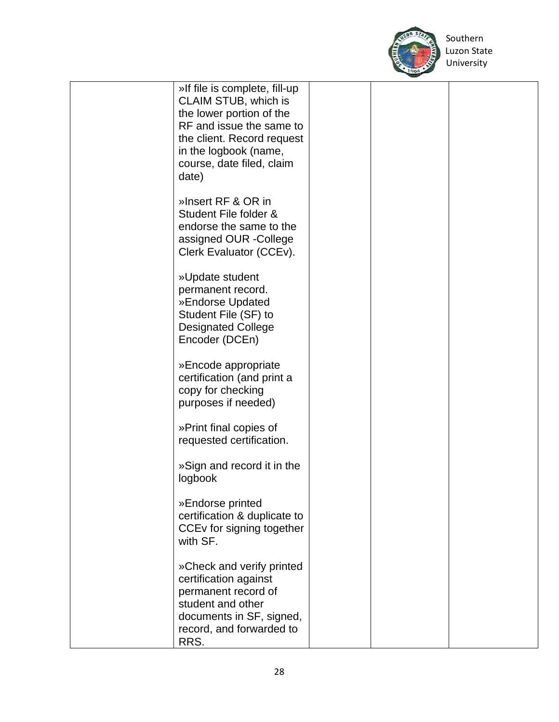

 Southern University

| »If file is complete, fill-up<br>CLAIM STUB, which is<br>the lower portion of the<br>RF and issue the same to<br>the client. Record request<br>in the logbook (name,<br>course, date filed, claim<br>date) |  |  |
|------------------------------------------------------------------------------------------------------------------------------------------------------------------------------------------------------------|--|--|
| »Insert RF & OR in<br>Student File folder &<br>endorse the same to the<br>assigned OUR -College<br>Clerk Evaluator (CCEv).                                                                                 |  |  |
| »Update student<br>permanent record.<br>»Endorse Updated<br>Student File (SF) to<br><b>Designated College</b><br>Encoder (DCEn)                                                                            |  |  |
| »Encode appropriate<br>certification (and print a<br>copy for checking<br>purposes if needed)                                                                                                              |  |  |
| »Print final copies of<br>requested certification.                                                                                                                                                         |  |  |
| »Sign and record it in the<br>logbook                                                                                                                                                                      |  |  |
| »Endorse printed<br>certification & duplicate to<br>CCEv for signing together<br>with SF.                                                                                                                  |  |  |
| »Check and verify printed<br>certification against<br>permanent record of<br>student and other<br>documents in SF, signed,<br>record, and forwarded to<br>RRS.                                             |  |  |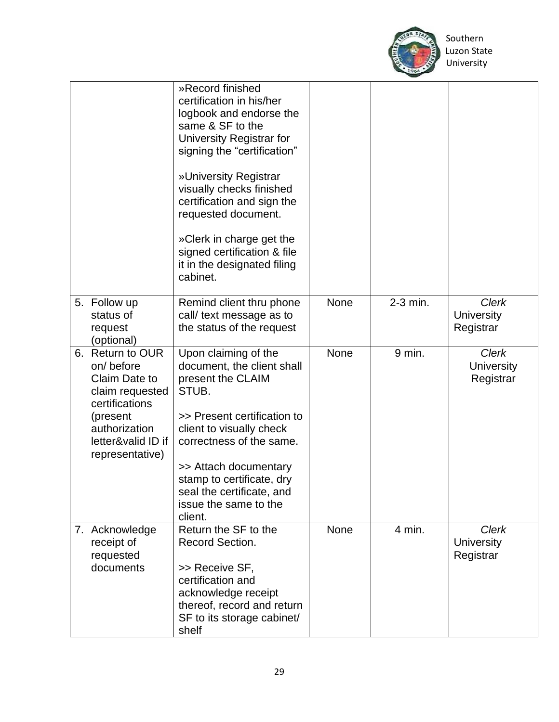

|                                                                                                                                                           | »Record finished<br>certification in his/her<br>logbook and endorse the<br>same & SF to the<br>University Registrar for<br>signing the "certification"<br>»University Registrar<br>visually checks finished<br>certification and sign the<br>requested document.<br>»Clerk in charge get the<br>signed certification & file<br>it in the designated filing<br>cabinet. |      |          |                                                |
|-----------------------------------------------------------------------------------------------------------------------------------------------------------|------------------------------------------------------------------------------------------------------------------------------------------------------------------------------------------------------------------------------------------------------------------------------------------------------------------------------------------------------------------------|------|----------|------------------------------------------------|
| 5. Follow up<br>status of<br>request<br>(optional)                                                                                                        | Remind client thru phone<br>call/ text message as to<br>the status of the request                                                                                                                                                                                                                                                                                      | None | 2-3 min. | <b>Clerk</b><br><b>University</b><br>Registrar |
| 6. Return to OUR<br>on/before<br>Claim Date to<br>claim requested<br>certifications<br>(present<br>authorization<br>letter&valid ID if<br>representative) | Upon claiming of the<br>document, the client shall<br>present the CLAIM<br>STUB.<br>>> Present certification to<br>client to visually check<br>correctness of the same.<br>>> Attach documentary<br>stamp to certificate, dry<br>seal the certificate, and<br>issue the same to the<br>client.                                                                         | None | 9 min.   | <b>Clerk</b><br><b>University</b><br>Registrar |
| 7. Acknowledge<br>receipt of<br>requested<br>documents                                                                                                    | Return the SF to the<br>Record Section.<br>>> Receive SF,<br>certification and<br>acknowledge receipt<br>thereof, record and return<br>SF to its storage cabinet/<br>shelf                                                                                                                                                                                             | None | 4 min.   | <b>Clerk</b><br><b>University</b><br>Registrar |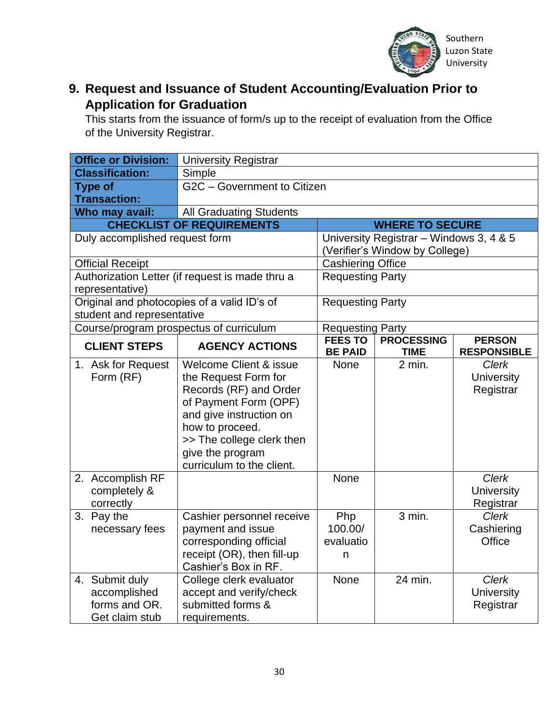

#### **9. Request and Issuance of Student Accounting/Evaluation Prior to Application for Graduation**

This starts from the issuance of form/s up to the receipt of evaluation from the Office of the University Registrar.

| <b>Office or Division:</b>                  | <b>University Registrar</b>                     |                                           |                                         |                    |
|---------------------------------------------|-------------------------------------------------|-------------------------------------------|-----------------------------------------|--------------------|
| <b>Classification:</b>                      | Simple                                          |                                           |                                         |                    |
| <b>Type of</b>                              | G2C - Government to Citizen                     |                                           |                                         |                    |
| <b>Transaction:</b>                         |                                                 |                                           |                                         |                    |
| Who may avail:                              | <b>All Graduating Students</b>                  |                                           |                                         |                    |
|                                             | <b>CHECKLIST OF REQUIREMENTS</b>                |                                           | <b>WHERE TO SECURE</b>                  |                    |
| Duly accomplished request form              |                                                 |                                           | University Registrar - Windows 3, 4 & 5 |                    |
|                                             |                                                 |                                           | (Verifier's Window by College)          |                    |
| <b>Official Receipt</b>                     |                                                 | <b>Cashiering Office</b>                  |                                         |                    |
|                                             | Authorization Letter (if request is made thru a | <b>Requesting Party</b>                   |                                         |                    |
| representative)                             |                                                 |                                           |                                         |                    |
| Original and photocopies of a valid ID's of |                                                 | <b>Requesting Party</b>                   |                                         |                    |
| student and representative                  |                                                 |                                           |                                         |                    |
| Course/program prospectus of curriculum     |                                                 | <b>Requesting Party</b><br><b>FEES TO</b> | <b>PROCESSING</b>                       | <b>PERSON</b>      |
| <b>CLIENT STEPS</b>                         | <b>AGENCY ACTIONS</b>                           | <b>BE PAID</b>                            | <b>TIME</b>                             | <b>RESPONSIBLE</b> |
| 1. Ask for Request                          | Welcome Client & issue                          | None                                      | 2 min.                                  | <b>Clerk</b>       |
| Form (RF)                                   | the Request Form for                            |                                           |                                         | <b>University</b>  |
|                                             | Records (RF) and Order                          |                                           |                                         | Registrar          |
|                                             | of Payment Form (OPF)                           |                                           |                                         |                    |
|                                             | and give instruction on                         |                                           |                                         |                    |
|                                             | how to proceed.                                 |                                           |                                         |                    |
|                                             | >> The college clerk then                       |                                           |                                         |                    |
|                                             | give the program                                |                                           |                                         |                    |
|                                             | curriculum to the client.                       |                                           |                                         |                    |
| 2. Accomplish RF                            |                                                 | <b>None</b>                               |                                         | Clerk              |
| completely &                                |                                                 |                                           |                                         | University         |
| correctly                                   |                                                 |                                           |                                         | Registrar          |
| 3. Pay the                                  | Cashier personnel receive                       | Php                                       | $3$ min.                                | <b>Clerk</b>       |
| necessary fees                              | payment and issue                               | 100.00/                                   |                                         | Cashiering         |
|                                             | corresponding official                          | evaluatio                                 |                                         | Office             |
|                                             | receipt (OR), then fill-up                      | n                                         |                                         |                    |
|                                             | Cashier's Box in RF.                            |                                           |                                         |                    |
| 4. Submit duly                              | College clerk evaluator                         | None                                      | 24 min.                                 | <b>Clerk</b>       |
| accomplished                                | accept and verify/check                         |                                           |                                         | <b>University</b>  |
| forms and OR.                               | submitted forms &                               |                                           |                                         | Registrar          |
| Get claim stub                              | requirements.                                   |                                           |                                         |                    |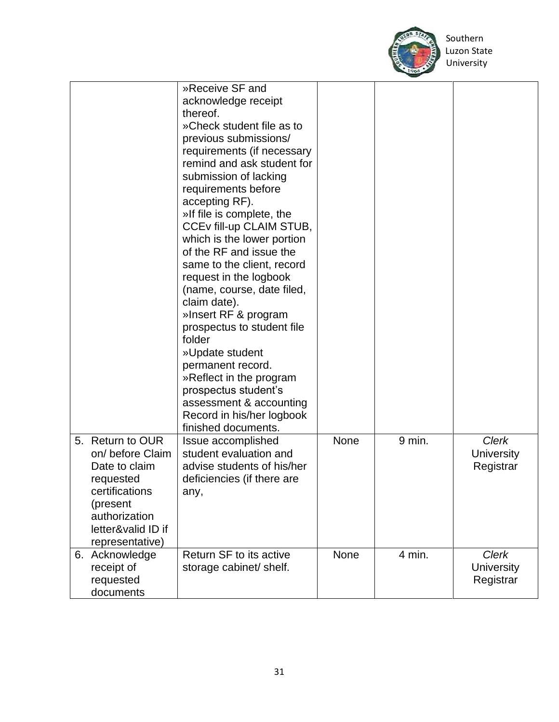

|                                                                                                                                                            | »Receive SF and<br>acknowledge receipt<br>thereof.<br>»Check student file as to<br>previous submissions/<br>requirements (if necessary<br>remind and ask student for<br>submission of lacking<br>requirements before<br>accepting RF).<br>»If file is complete, the<br>CCEv fill-up CLAIM STUB,<br>which is the lower portion<br>of the RF and issue the<br>same to the client, record<br>request in the logbook<br>(name, course, date filed,<br>claim date).<br>»Insert RF & program<br>prospectus to student file<br>folder<br>»Update student<br>permanent record.<br>»Reflect in the program<br>prospectus student's<br>assessment & accounting<br>Record in his/her logbook<br>finished documents. |             |        |                                                |
|------------------------------------------------------------------------------------------------------------------------------------------------------------|----------------------------------------------------------------------------------------------------------------------------------------------------------------------------------------------------------------------------------------------------------------------------------------------------------------------------------------------------------------------------------------------------------------------------------------------------------------------------------------------------------------------------------------------------------------------------------------------------------------------------------------------------------------------------------------------------------|-------------|--------|------------------------------------------------|
| 5. Return to OUR<br>on/ before Claim<br>Date to claim<br>requested<br>certifications<br>(present<br>authorization<br>letter&valid ID if<br>representative) | Issue accomplished<br>student evaluation and<br>advise students of his/her<br>deficiencies (if there are<br>any,                                                                                                                                                                                                                                                                                                                                                                                                                                                                                                                                                                                         | None        | 9 min. | <b>Clerk</b><br>University<br>Registrar        |
| 6. Acknowledge<br>receipt of<br>requested<br>documents                                                                                                     | Return SF to its active<br>storage cabinet/ shelf.                                                                                                                                                                                                                                                                                                                                                                                                                                                                                                                                                                                                                                                       | <b>None</b> | 4 min. | <b>Clerk</b><br><b>University</b><br>Registrar |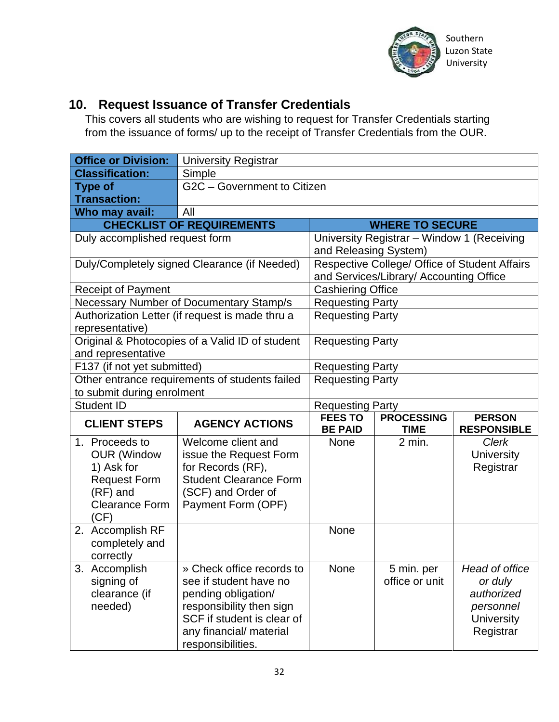

#### **10. Request Issuance of Transfer Credentials**

This covers all students who are wishing to request for Transfer Credentials starting from the issuance of forms/ up to the receipt of Transfer Credentials from the OUR.

| <b>Office or Division:</b>                                                                                     | <b>University Registrar</b>                                                                                                                    |                                  |                                            |                                                |
|----------------------------------------------------------------------------------------------------------------|------------------------------------------------------------------------------------------------------------------------------------------------|----------------------------------|--------------------------------------------|------------------------------------------------|
| <b>Classification:</b>                                                                                         | Simple                                                                                                                                         |                                  |                                            |                                                |
| <b>Type of</b>                                                                                                 | G2C - Government to Citizen                                                                                                                    |                                  |                                            |                                                |
| <b>Transaction:</b>                                                                                            |                                                                                                                                                |                                  |                                            |                                                |
| Who may avail:                                                                                                 | All                                                                                                                                            |                                  |                                            |                                                |
|                                                                                                                | <b>CHECKLIST OF REQUIREMENTS</b>                                                                                                               |                                  | <b>WHERE TO SECURE</b>                     |                                                |
| Duly accomplished request form                                                                                 |                                                                                                                                                | and Releasing System)            | University Registrar - Window 1 (Receiving |                                                |
|                                                                                                                | Duly/Completely signed Clearance (if Needed)                                                                                                   |                                  | and Services/Library/ Accounting Office    | Respective College/ Office of Student Affairs  |
| <b>Receipt of Payment</b>                                                                                      |                                                                                                                                                | <b>Cashiering Office</b>         |                                            |                                                |
|                                                                                                                | Necessary Number of Documentary Stamp/s                                                                                                        | <b>Requesting Party</b>          |                                            |                                                |
| representative)                                                                                                | Authorization Letter (if request is made thru a                                                                                                | <b>Requesting Party</b>          |                                            |                                                |
| Original & Photocopies of a Valid ID of student<br>and representative                                          | <b>Requesting Party</b>                                                                                                                        |                                  |                                            |                                                |
| F137 (if not yet submitted)                                                                                    |                                                                                                                                                | <b>Requesting Party</b>          |                                            |                                                |
| Other entrance requirements of students failed<br>to submit during enrolment                                   |                                                                                                                                                | <b>Requesting Party</b>          |                                            |                                                |
| <b>Student ID</b>                                                                                              |                                                                                                                                                | <b>Requesting Party</b>          |                                            |                                                |
| <b>CLIENT STEPS</b>                                                                                            | <b>AGENCY ACTIONS</b>                                                                                                                          | <b>FEES TO</b><br><b>BE PAID</b> | <b>PROCESSING</b><br><b>TIME</b>           | <b>PERSON</b><br><b>RESPONSIBLE</b>            |
|                                                                                                                |                                                                                                                                                |                                  |                                            |                                                |
| 1. Proceeds to<br><b>OUR (Window</b><br>1) Ask for<br><b>Request Form</b><br>(RF) and<br><b>Clearance Form</b> | Welcome client and<br>issue the Request Form<br>for Records (RF),<br><b>Student Clearance Form</b><br>(SCF) and Order of<br>Payment Form (OPF) | None                             | 2 min.                                     | <b>Clerk</b><br><b>University</b><br>Registrar |
| (CF)<br>2. Accomplish RF<br>completely and<br>correctly                                                        |                                                                                                                                                | None                             |                                            |                                                |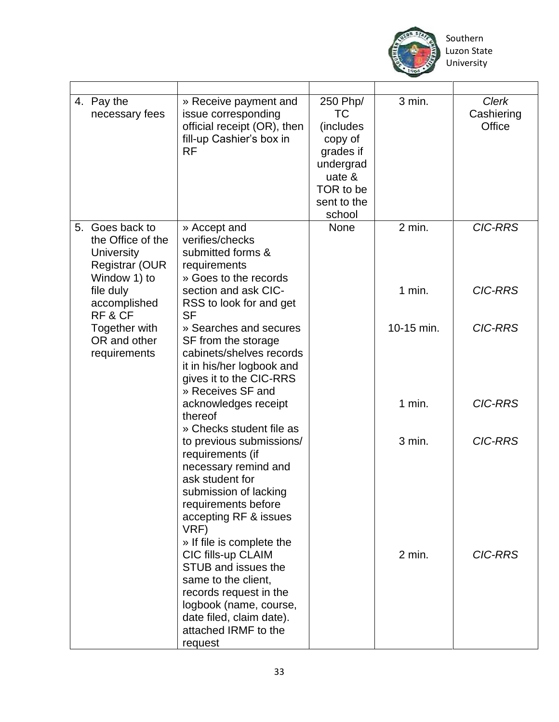

| 4. Pay the<br>necessary fees                                                                                     | » Receive payment and<br>issue corresponding<br>official receipt (OR), then<br>fill-up Cashier's box in<br><b>RF</b>                                                                                                              | 250 Php/<br>TC<br>(includes<br>copy of<br>grades if<br>undergrad<br>uate &<br>TOR to be<br>sent to the<br>school | 3 min.               | <b>Clerk</b><br>Cashiering<br>Office |
|------------------------------------------------------------------------------------------------------------------|-----------------------------------------------------------------------------------------------------------------------------------------------------------------------------------------------------------------------------------|------------------------------------------------------------------------------------------------------------------|----------------------|--------------------------------------|
| 5. Goes back to<br>the Office of the<br><b>University</b><br><b>Registrar (OUR)</b><br>Window 1) to<br>file duly | » Accept and<br>verifies/checks<br>submitted forms &<br>requirements<br>» Goes to the records<br>section and ask CIC-                                                                                                             | <b>None</b>                                                                                                      | $2$ min.<br>$1$ min. | <b>CIC-RRS</b><br><b>CIC-RRS</b>     |
| accomplished<br>RF&CF                                                                                            | RSS to look for and get<br><b>SF</b>                                                                                                                                                                                              |                                                                                                                  |                      |                                      |
| Together with<br>OR and other<br>requirements                                                                    | » Searches and secures<br>SF from the storage<br>cabinets/shelves records<br>it in his/her logbook and<br>gives it to the CIC-RRS<br>» Receives SF and                                                                            |                                                                                                                  | 10-15 min.           | <b>CIC-RRS</b>                       |
|                                                                                                                  | acknowledges receipt<br>thereof                                                                                                                                                                                                   |                                                                                                                  | $1$ min.             | <b>CIC-RRS</b>                       |
|                                                                                                                  | » Checks student file as<br>to previous submissions/<br>requirements (if<br>necessary remind and<br>ask student for<br>submission of lacking<br>requirements before<br>accepting RF & issues<br>VRF)<br>» If file is complete the |                                                                                                                  | 3 min.               | <b>CIC-RRS</b>                       |
|                                                                                                                  | CIC fills-up CLAIM<br>STUB and issues the<br>same to the client,<br>records request in the<br>logbook (name, course,<br>date filed, claim date).<br>attached IRMF to the<br>request                                               |                                                                                                                  | 2 min.               | <b>CIC-RRS</b>                       |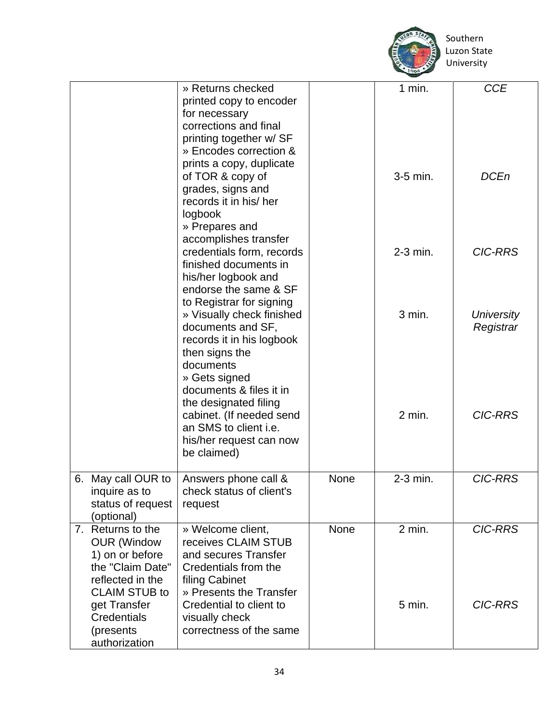

|                                                                                                                            | » Returns checked<br>printed copy to encoder<br>for necessary<br>corrections and final<br>printing together w/ SF<br>» Encodes correction &<br>prints a copy, duplicate |             | 1 min.     | <b>CCE</b>                     |
|----------------------------------------------------------------------------------------------------------------------------|-------------------------------------------------------------------------------------------------------------------------------------------------------------------------|-------------|------------|--------------------------------|
|                                                                                                                            | of TOR & copy of<br>grades, signs and<br>records it in his/ her<br>logbook<br>» Prepares and<br>accomplishes transfer                                                   |             | 3-5 min.   | <b>DCEn</b>                    |
|                                                                                                                            | credentials form, records<br>finished documents in<br>his/her logbook and<br>endorse the same & SF<br>to Registrar for signing                                          |             | $2-3$ min. | <b>CIC-RRS</b>                 |
|                                                                                                                            | » Visually check finished<br>documents and SF,<br>records it in his logbook<br>then signs the<br>documents<br>» Gets signed<br>documents & files it in                  |             | 3 min.     | <b>University</b><br>Registrar |
|                                                                                                                            | the designated filing<br>cabinet. (If needed send<br>an SMS to client i.e.<br>his/her request can now<br>be claimed)                                                    |             | 2 min.     | <b>CIC-RRS</b>                 |
| 6. May call OUR to<br>inquire as to<br>status of request<br>(optional)                                                     | Answers phone call &<br>check status of client's<br>request                                                                                                             | None        | 2-3 min.   | <b>CIC-RRS</b>                 |
| 7. Returns to the<br><b>OUR (Window</b><br>1) on or before<br>the "Claim Date"<br>reflected in the<br><b>CLAIM STUB to</b> | » Welcome client.<br>receives CLAIM STUB<br>and secures Transfer<br>Credentials from the<br>filing Cabinet<br>» Presents the Transfer                                   | <b>None</b> | 2 min.     | <b>CIC-RRS</b>                 |
| get Transfer<br>Credentials<br>(presents<br>authorization                                                                  | Credential to client to<br>visually check<br>correctness of the same                                                                                                    |             | 5 min.     | <b>CIC-RRS</b>                 |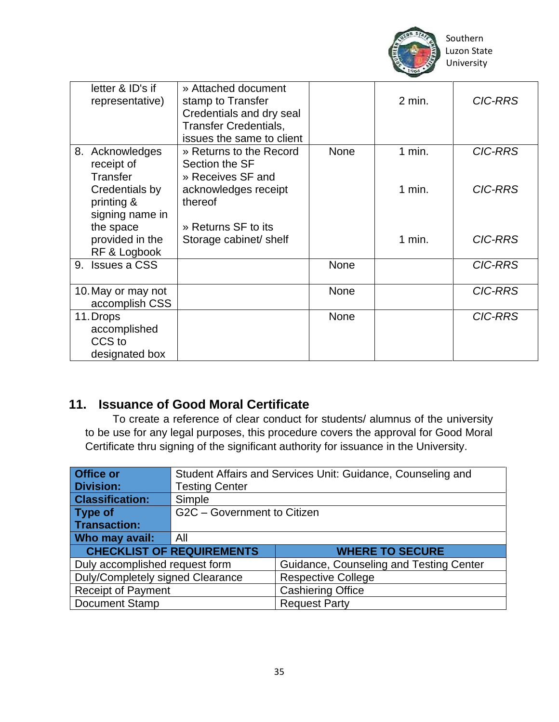

| letter & ID's if   | » Attached document          |             |          |                |
|--------------------|------------------------------|-------------|----------|----------------|
| representative)    | stamp to Transfer            |             | $2$ min. | <b>CIC-RRS</b> |
|                    | Credentials and dry seal     |             |          |                |
|                    | <b>Transfer Credentials,</b> |             |          |                |
|                    | issues the same to client    |             |          |                |
| 8. Acknowledges    | » Returns to the Record      | <b>None</b> | $1$ min. | <b>CIC-RRS</b> |
| receipt of         | Section the SF               |             |          |                |
| Transfer           | » Receives SF and            |             |          |                |
| Credentials by     | acknowledges receipt         |             | 1 min.   | <b>CIC-RRS</b> |
| printing &         | thereof                      |             |          |                |
| signing name in    |                              |             |          |                |
| the space          | » Returns SF to its          |             |          |                |
| provided in the    | Storage cabinet/ shelf       |             | $1$ min. | <b>CIC-RRS</b> |
| RF & Logbook       |                              |             |          |                |
| 9. Issues a CSS    |                              | None        |          | <b>CIC-RRS</b> |
|                    |                              |             |          |                |
| 10. May or may not |                              | <b>None</b> |          | <b>CIC-RRS</b> |
| accomplish CSS     |                              |             |          |                |
| 11. Drops          |                              | None        |          | <b>CIC-RRS</b> |
| accomplished       |                              |             |          |                |
| CCS to             |                              |             |          |                |
| designated box     |                              |             |          |                |

#### **11. Issuance of Good Moral Certificate**

 To create a reference of clear conduct for students/ alumnus of the university to be use for any legal purposes, this procedure covers the approval for Good Moral Certificate thru signing of the significant authority for issuance in the University.

| Office or                        |                                  | Student Affairs and Services Unit: Guidance, Counseling and |
|----------------------------------|----------------------------------|-------------------------------------------------------------|
| <b>Division:</b>                 | <b>Testing Center</b>            |                                                             |
| <b>Classification:</b>           | Simple                           |                                                             |
| Type of                          | G2C - Government to Citizen      |                                                             |
| Transaction:                     |                                  |                                                             |
| Who may avail:                   | All                              |                                                             |
|                                  | <b>CHECKLIST OF REQUIREMENTS</b> | <b>WHERE TO SECURE</b>                                      |
| Duly accomplished request form   |                                  | Guidance, Counseling and Testing Center                     |
| Duly/Completely signed Clearance |                                  | <b>Respective College</b>                                   |
| <b>Receipt of Payment</b>        |                                  | <b>Cashiering Office</b>                                    |
| <b>Document Stamp</b>            |                                  | <b>Request Party</b>                                        |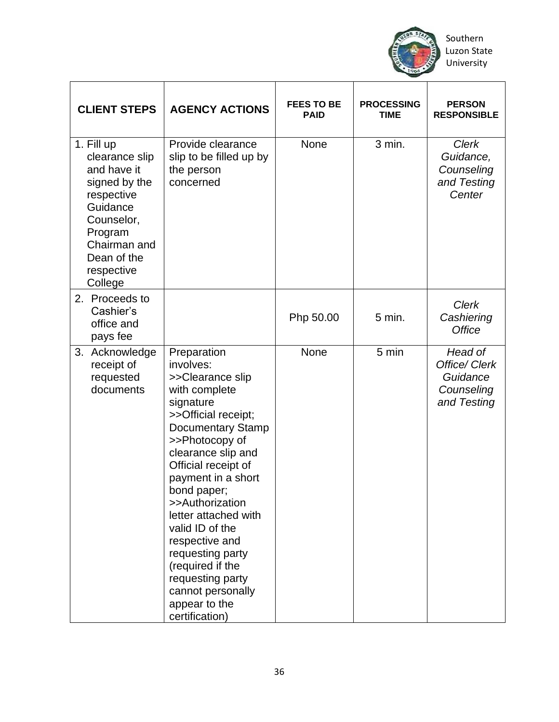

| <b>CLIENT STEPS</b>                                                                                                                                                     | <b>AGENCY ACTIONS</b>                                                                                                                                                                                                                                                                                                                                                                                                                 | <b>FEES TO BE</b><br><b>PAID</b> | <b>PROCESSING</b><br><b>TIME</b> | <b>PERSON</b><br><b>RESPONSIBLE</b>                               |
|-------------------------------------------------------------------------------------------------------------------------------------------------------------------------|---------------------------------------------------------------------------------------------------------------------------------------------------------------------------------------------------------------------------------------------------------------------------------------------------------------------------------------------------------------------------------------------------------------------------------------|----------------------------------|----------------------------------|-------------------------------------------------------------------|
| 1. Fill up<br>clearance slip<br>and have it<br>signed by the<br>respective<br>Guidance<br>Counselor,<br>Program<br>Chairman and<br>Dean of the<br>respective<br>College | Provide clearance<br>slip to be filled up by<br>the person<br>concerned                                                                                                                                                                                                                                                                                                                                                               | None                             | 3 min.                           | <b>Clerk</b><br>Guidance,<br>Counseling<br>and Testing<br>Center  |
| 2. Proceeds to<br>Cashier's<br>office and<br>pays fee                                                                                                                   |                                                                                                                                                                                                                                                                                                                                                                                                                                       | Php 50.00                        | $5$ min.                         | <b>Clerk</b><br>Cashiering<br><b>Office</b>                       |
| 3. Acknowledge<br>receipt of<br>requested<br>documents                                                                                                                  | Preparation<br>involves:<br>>>Clearance slip<br>with complete<br>signature<br>>>Official receipt;<br><b>Documentary Stamp</b><br>>>Photocopy of<br>clearance slip and<br>Official receipt of<br>payment in a short<br>bond paper;<br>>>Authorization<br>letter attached with<br>valid ID of the<br>respective and<br>requesting party<br>(required if the<br>requesting party<br>cannot personally<br>appear to the<br>certification) | None                             | 5 min                            | Head of<br>Office/ Clerk<br>Guidance<br>Counseling<br>and Testing |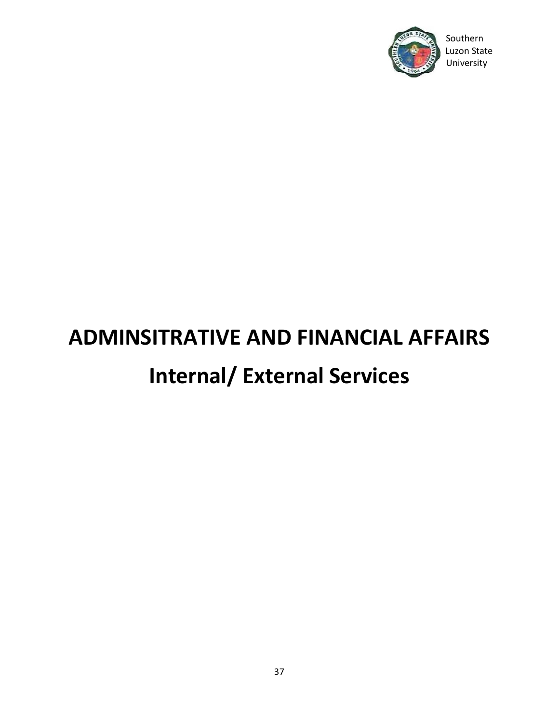

# Southern

# **ADMINSITRATIVE AND FINANCIAL AFFAIRS Internal/ External Services**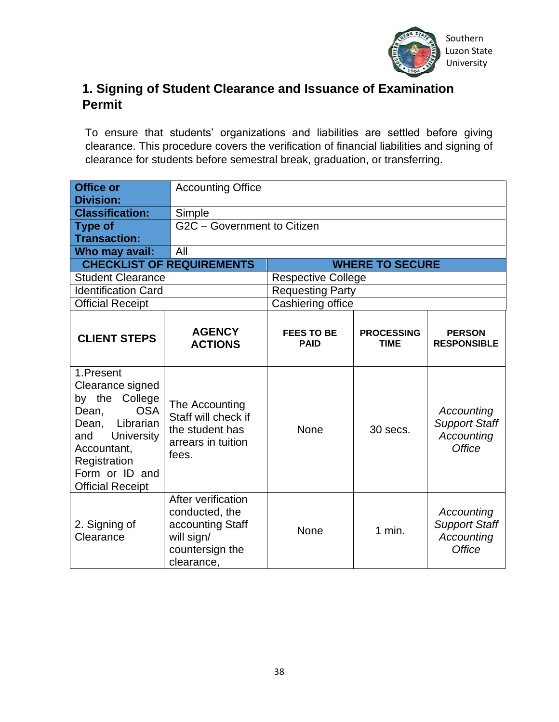

#### **1. Signing of Student Clearance and Issuance of Examination Permit**

To ensure that students' organizations and liabilities are settled before giving clearance. This procedure covers the verification of financial liabilities and signing of clearance for students before semestral break, graduation, or transferring.

| <b>Office or</b><br><b>Division:</b>                                                                                                                                                       | <b>Accounting Office</b>                                                                                |                                  |                                  |                                                                   |
|--------------------------------------------------------------------------------------------------------------------------------------------------------------------------------------------|---------------------------------------------------------------------------------------------------------|----------------------------------|----------------------------------|-------------------------------------------------------------------|
| <b>Classification:</b>                                                                                                                                                                     | Simple                                                                                                  |                                  |                                  |                                                                   |
| <b>Type of</b>                                                                                                                                                                             | G2C - Government to Citizen                                                                             |                                  |                                  |                                                                   |
| <b>Transaction:</b>                                                                                                                                                                        |                                                                                                         |                                  |                                  |                                                                   |
| Who may avail:                                                                                                                                                                             | All                                                                                                     |                                  |                                  |                                                                   |
|                                                                                                                                                                                            | <b>CHECKLIST OF REQUIREMENTS</b>                                                                        |                                  | <b>WHERE TO SECURE</b>           |                                                                   |
| <b>Student Clearance</b>                                                                                                                                                                   |                                                                                                         | <b>Respective College</b>        |                                  |                                                                   |
| <b>Identification Card</b>                                                                                                                                                                 |                                                                                                         | <b>Requesting Party</b>          |                                  |                                                                   |
| <b>Official Receipt</b>                                                                                                                                                                    |                                                                                                         | Cashiering office                |                                  |                                                                   |
| <b>CLIENT STEPS</b>                                                                                                                                                                        | <b>AGENCY</b><br><b>ACTIONS</b>                                                                         | <b>FEES TO BE</b><br><b>PAID</b> | <b>PROCESSING</b><br><b>TIME</b> | <b>PERSON</b><br><b>RESPONSIBLE</b>                               |
| 1.Present<br>Clearance signed<br>by the College<br><b>OSA</b><br>Dean,<br>Dean, Librarian<br>University<br>and<br>Accountant,<br>Registration<br>Form or ID and<br><b>Official Receipt</b> | The Accounting<br>Staff will check if<br>the student has<br>arrears in tuition<br>fees.                 | None                             | 30 secs.                         | Accounting<br><b>Support Staff</b><br>Accounting<br><b>Office</b> |
| 2. Signing of<br>Clearance                                                                                                                                                                 | After verification<br>conducted, the<br>accounting Staff<br>will sign/<br>countersign the<br>clearance, | <b>None</b>                      | $1$ min.                         | Accounting<br><b>Support Staff</b><br>Accounting<br><b>Office</b> |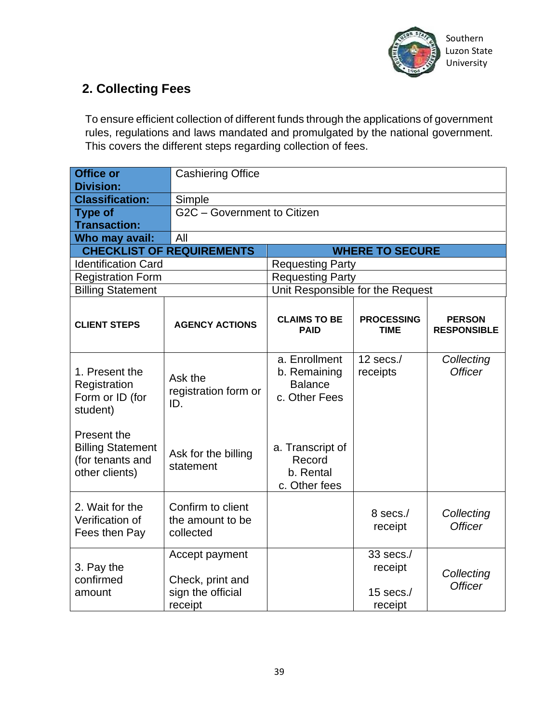

#### **2. Collecting Fees**

To ensure efficient collection of different funds through the applications of government rules, regulations and laws mandated and promulgated by the national government. This covers the different steps regarding collection of fees.

| <b>Office or</b><br><b>Division:</b>                                          | <b>Cashiering Office</b>                                           |                                                                                                               |                                                |                              |  |
|-------------------------------------------------------------------------------|--------------------------------------------------------------------|---------------------------------------------------------------------------------------------------------------|------------------------------------------------|------------------------------|--|
| <b>Classification:</b>                                                        | Simple                                                             |                                                                                                               |                                                |                              |  |
| <b>Type of</b>                                                                | G2C - Government to Citizen                                        |                                                                                                               |                                                |                              |  |
| <b>Transaction:</b>                                                           |                                                                    |                                                                                                               |                                                |                              |  |
| Who may avail:                                                                | All                                                                |                                                                                                               |                                                |                              |  |
|                                                                               | <b>CHECKLIST OF REQUIREMENTS</b>                                   |                                                                                                               | <b>WHERE TO SECURE</b>                         |                              |  |
| <b>Identification Card</b>                                                    |                                                                    | <b>Requesting Party</b>                                                                                       |                                                |                              |  |
| <b>Registration Form</b>                                                      |                                                                    | <b>Requesting Party</b>                                                                                       |                                                |                              |  |
| <b>Billing Statement</b>                                                      |                                                                    | Unit Responsible for the Request                                                                              |                                                |                              |  |
| <b>CLIENT STEPS</b>                                                           | <b>AGENCY ACTIONS</b>                                              | <b>CLAIMS TO BE</b><br><b>PROCESSING</b><br><b>PERSON</b><br><b>PAID</b><br><b>TIME</b><br><b>RESPONSIBLE</b> |                                                |                              |  |
| 1. Present the<br>Registration<br>Form or ID (for<br>student)                 | Ask the<br>registration form or<br>ID.                             | a. Enrollment<br>b. Remaining<br><b>Balance</b><br>c. Other Fees                                              | 12 secs. $/$<br>receipts                       | Collecting<br><b>Officer</b> |  |
| Present the<br><b>Billing Statement</b><br>(for tenants and<br>other clients) | Ask for the billing<br>statement                                   | a. Transcript of<br>Record<br>b. Rental<br>c. Other fees                                                      |                                                |                              |  |
| 2. Wait for the<br>Verification of<br>Fees then Pay                           | Confirm to client<br>the amount to be<br>collected                 |                                                                                                               | 8 secs./<br>receipt                            | Collecting<br><b>Officer</b> |  |
| 3. Pay the<br>confirmed<br>amount                                             | Accept payment<br>Check, print and<br>sign the official<br>receipt |                                                                                                               | 33 secs./<br>receipt<br>$15$ secs./<br>receipt | Collecting<br><b>Officer</b> |  |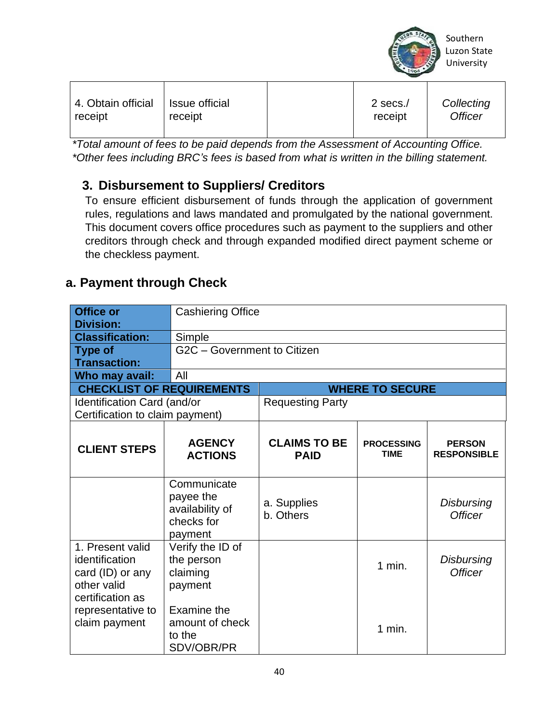

*\*Total amount of fees to be paid depends from the Assessment of Accounting Office. \*Other fees including BRC's fees is based from what is written in the billing statement.*

#### **3. Disbursement to Suppliers/ Creditors**

To ensure efficient disbursement of funds through the application of government rules, regulations and laws mandated and promulgated by the national government. This document covers office procedures such as payment to the suppliers and other creditors through check and through expanded modified direct payment scheme or the checkless payment.

#### **a. Payment through Check**

| <b>Office or</b><br><b>Division:</b>                                                                           | <b>Cashiering Office</b>                                             |                                    |                                  |                                     |
|----------------------------------------------------------------------------------------------------------------|----------------------------------------------------------------------|------------------------------------|----------------------------------|-------------------------------------|
| <b>Classification:</b>                                                                                         | Simple                                                               |                                    |                                  |                                     |
| <b>Type of</b>                                                                                                 |                                                                      | G2C - Government to Citizen        |                                  |                                     |
| <b>Transaction:</b>                                                                                            |                                                                      |                                    |                                  |                                     |
| Who may avail:                                                                                                 | All                                                                  |                                    |                                  |                                     |
| <b>CHECKLIST OF REQUIREMENTS</b>                                                                               |                                                                      |                                    | <b>WHERE TO SECURE</b>           |                                     |
| Identification Card (and/or<br>Certification to claim payment)                                                 |                                                                      | <b>Requesting Party</b>            |                                  |                                     |
| <b>CLIENT STEPS</b>                                                                                            | <b>AGENCY</b><br><b>ACTIONS</b>                                      | <b>CLAIMS TO BE</b><br><b>PAID</b> | <b>PROCESSING</b><br><b>TIME</b> | <b>PERSON</b><br><b>RESPONSIBLE</b> |
|                                                                                                                | Communicate<br>payee the<br>availability of<br>checks for<br>payment | a. Supplies<br>b. Others           |                                  | <b>Disbursing</b><br><b>Officer</b> |
| 1. Present valid<br>identification<br>card (ID) or any<br>other valid<br>certification as<br>representative to | Verify the ID of<br>the person<br>claiming<br>payment<br>Examine the |                                    | $1$ min.                         | <b>Disbursing</b><br><b>Officer</b> |
| claim payment                                                                                                  | amount of check<br>to the<br>SDV/OBR/PR                              |                                    | $1$ min.                         |                                     |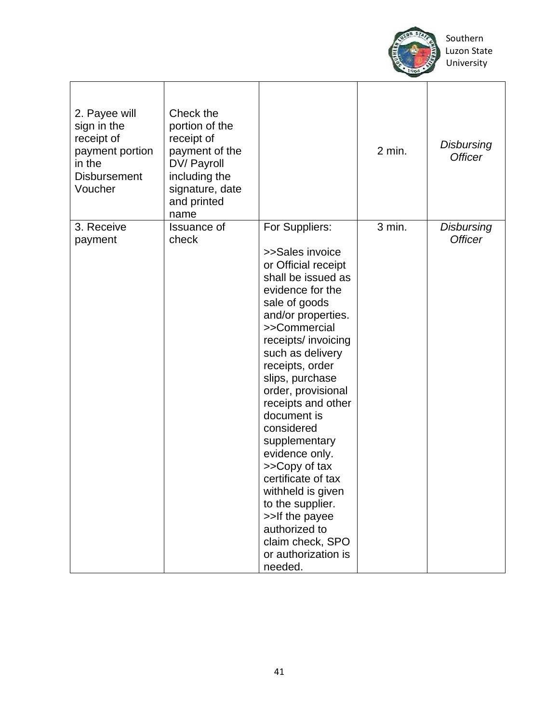

| 2. Payee will<br>sign in the<br>receipt of<br>payment portion<br>in the<br><b>Disbursement</b><br>Voucher | Check the<br>portion of the<br>receipt of<br>payment of the<br>DV/ Payroll<br>including the<br>signature, date<br>and printed<br>name |                                                                                                                                                                                                                                                                                                                                                                                                                                                                                                                                 | $2$ min. | <b>Disbursing</b><br><b>Officer</b> |
|-----------------------------------------------------------------------------------------------------------|---------------------------------------------------------------------------------------------------------------------------------------|---------------------------------------------------------------------------------------------------------------------------------------------------------------------------------------------------------------------------------------------------------------------------------------------------------------------------------------------------------------------------------------------------------------------------------------------------------------------------------------------------------------------------------|----------|-------------------------------------|
| 3. Receive<br>payment                                                                                     | <b>Issuance of</b><br>check                                                                                                           | For Suppliers:<br>>>Sales invoice<br>or Official receipt<br>shall be issued as<br>evidence for the<br>sale of goods<br>and/or properties.<br>>>Commercial<br>receipts/ invoicing<br>such as delivery<br>receipts, order<br>slips, purchase<br>order, provisional<br>receipts and other<br>document is<br>considered<br>supplementary<br>evidence only.<br>>>Copy of tax<br>certificate of tax<br>withheld is given<br>to the supplier.<br>>>If the payee<br>authorized to<br>claim check, SPO<br>or authorization is<br>needed. | 3 min.   | <b>Disbursing</b><br><b>Officer</b> |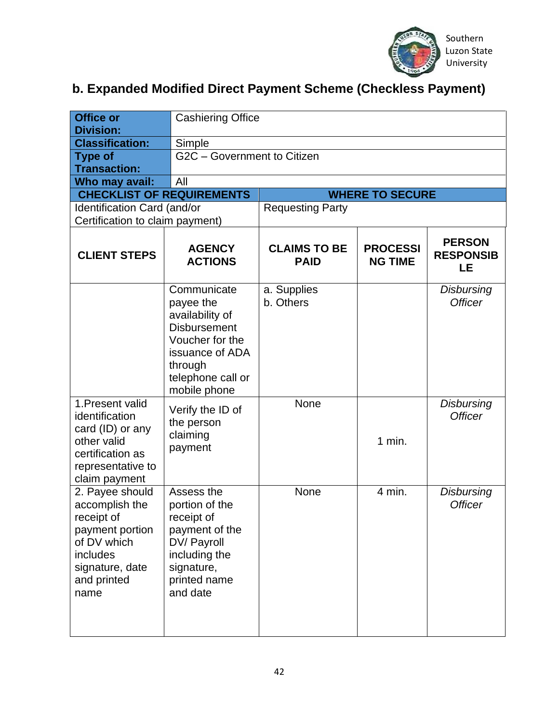

#### **b. Expanded Modified Direct Payment Scheme (Checkless Payment)**

| <b>Office or</b><br><b>Division:</b>                                                                                                    |                                                                                                                                                          | <b>Cashiering Office</b>           |                                   |                                         |  |
|-----------------------------------------------------------------------------------------------------------------------------------------|----------------------------------------------------------------------------------------------------------------------------------------------------------|------------------------------------|-----------------------------------|-----------------------------------------|--|
| <b>Classification:</b>                                                                                                                  | Simple                                                                                                                                                   |                                    |                                   |                                         |  |
| <b>Type of</b>                                                                                                                          |                                                                                                                                                          | G2C - Government to Citizen        |                                   |                                         |  |
| <b>Transaction:</b>                                                                                                                     |                                                                                                                                                          |                                    |                                   |                                         |  |
| Who may avail:                                                                                                                          | All                                                                                                                                                      |                                    |                                   |                                         |  |
| <b>CHECKLIST OF REQUIREMENTS</b>                                                                                                        |                                                                                                                                                          |                                    | <b>WHERE TO SECURE</b>            |                                         |  |
| Identification Card (and/or                                                                                                             |                                                                                                                                                          | <b>Requesting Party</b>            |                                   |                                         |  |
| Certification to claim payment)                                                                                                         |                                                                                                                                                          |                                    |                                   |                                         |  |
| <b>CLIENT STEPS</b>                                                                                                                     | <b>AGENCY</b><br><b>ACTIONS</b>                                                                                                                          | <b>CLAIMS TO BE</b><br><b>PAID</b> | <b>PROCESSI</b><br><b>NG TIME</b> | <b>PERSON</b><br><b>RESPONSIB</b><br>LE |  |
|                                                                                                                                         | Communicate<br>payee the<br>availability of<br><b>Disbursement</b><br>Voucher for the<br>issuance of ADA<br>through<br>telephone call or<br>mobile phone | a. Supplies<br>b. Others           |                                   | <b>Disbursing</b><br><b>Officer</b>     |  |
| 1. Present valid<br>identification<br>card (ID) or any<br>other valid<br>certification as<br>representative to<br>claim payment         | Verify the ID of<br>the person<br>claiming<br>payment                                                                                                    | None                               | $1$ min.                          | <b>Disbursing</b><br><b>Officer</b>     |  |
| 2. Payee should<br>accomplish the<br>receipt of<br>payment portion<br>of DV which<br>includes<br>signature, date<br>and printed<br>name | Assess the<br>portion of the<br>receipt of<br>payment of the<br>DV/ Payroll<br>including the<br>signature,<br>printed name<br>and date                   | None                               | $4$ min.                          | <b>Disbursing</b><br><b>Officer</b>     |  |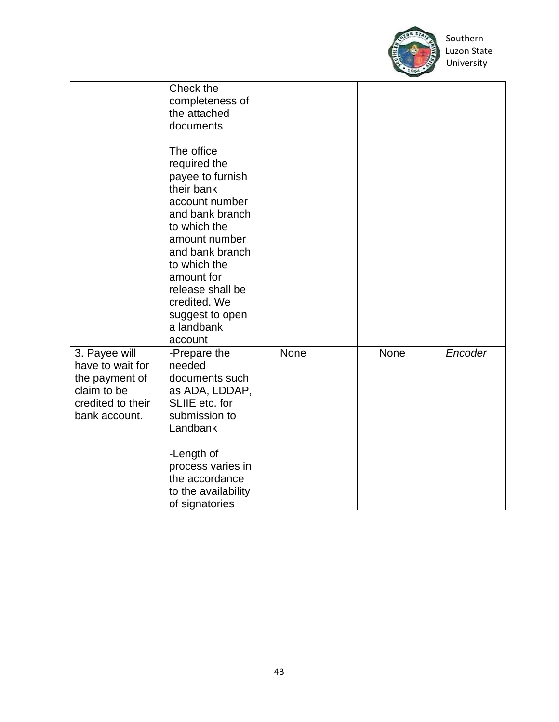

|                                                                                                          | Check the<br>completeness of<br>the attached<br>documents<br>The office<br>required the<br>payee to furnish<br>their bank<br>account number<br>and bank branch<br>to which the<br>amount number<br>and bank branch<br>to which the<br>amount for<br>release shall be<br>credited. We<br>suggest to open<br>a landbank |      |      |         |
|----------------------------------------------------------------------------------------------------------|-----------------------------------------------------------------------------------------------------------------------------------------------------------------------------------------------------------------------------------------------------------------------------------------------------------------------|------|------|---------|
| 3. Payee will<br>have to wait for<br>the payment of<br>claim to be<br>credited to their<br>bank account. | account<br>-Prepare the<br>needed<br>documents such<br>as ADA, LDDAP,<br>SLIIE etc. for<br>submission to<br>Landbank<br>-Length of<br>process varies in<br>the accordance<br>to the availability<br>of signatories                                                                                                    | None | None | Encoder |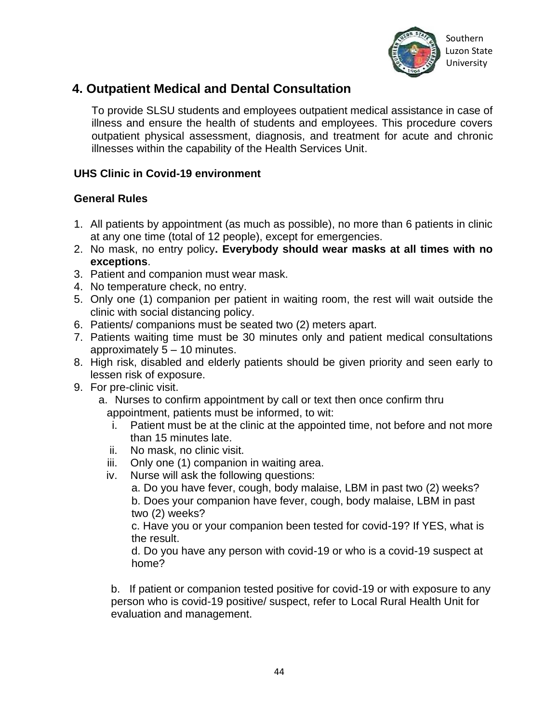

#### **4. Outpatient Medical and Dental Consultation**

To provide SLSU students and employees outpatient medical assistance in case of illness and ensure the health of students and employees. This procedure covers outpatient physical assessment, diagnosis, and treatment for acute and chronic illnesses within the capability of the Health Services Unit.

#### **UHS Clinic in Covid-19 environment**

#### **General Rules**

- 1. All patients by appointment (as much as possible), no more than 6 patients in clinic at any one time (total of 12 people), except for emergencies.
- 2. No mask, no entry policy**. Everybody should wear masks at all times with no exceptions**.
- 3. Patient and companion must wear mask.
- 4. No temperature check, no entry.
- 5. Only one (1) companion per patient in waiting room, the rest will wait outside the clinic with social distancing policy.
- 6. Patients/ companions must be seated two (2) meters apart.
- 7. Patients waiting time must be 30 minutes only and patient medical consultations approximately 5 – 10 minutes.
- 8. High risk, disabled and elderly patients should be given priority and seen early to lessen risk of exposure.
- 9. For pre-clinic visit.
	- a. Nurses to confirm appointment by call or text then once confirm thru appointment, patients must be informed, to wit:
		- i. Patient must be at the clinic at the appointed time, not before and not more than 15 minutes late.
		- ii. No mask, no clinic visit.
		- iii. Only one (1) companion in waiting area.
		- iv. Nurse will ask the following questions:
			- a. Do you have fever, cough, body malaise, LBM in past two (2) weeks? b. Does your companion have fever, cough, body malaise, LBM in past two (2) weeks?

c. Have you or your companion been tested for covid-19? If YES, what is the result.

d. Do you have any person with covid-19 or who is a covid-19 suspect at home?

b.. If patient or companion tested positive for covid-19 or with exposure to any person who is covid-19 positive/ suspect, refer to Local Rural Health Unit for evaluation and management.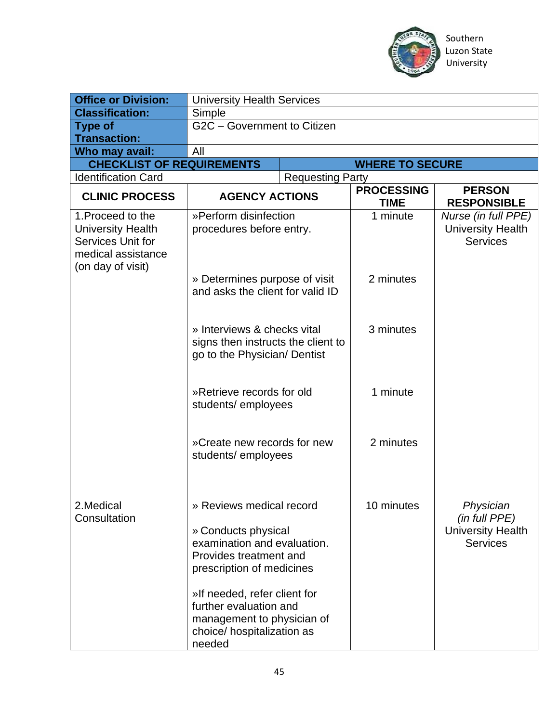

| <b>Office or Division:</b>                                                                                    | <b>University Health Services</b>                                                                                                                                                                                                                                     |                         |                                  |                                                                           |
|---------------------------------------------------------------------------------------------------------------|-----------------------------------------------------------------------------------------------------------------------------------------------------------------------------------------------------------------------------------------------------------------------|-------------------------|----------------------------------|---------------------------------------------------------------------------|
| <b>Classification:</b>                                                                                        | Simple                                                                                                                                                                                                                                                                |                         |                                  |                                                                           |
| <b>Type of</b>                                                                                                | G2C - Government to Citizen                                                                                                                                                                                                                                           |                         |                                  |                                                                           |
| <b>Transaction:</b>                                                                                           |                                                                                                                                                                                                                                                                       |                         |                                  |                                                                           |
| Who may avail:                                                                                                | All                                                                                                                                                                                                                                                                   |                         |                                  |                                                                           |
| <b>CHECKLIST OF REQUIREMENTS</b>                                                                              |                                                                                                                                                                                                                                                                       |                         | <b>WHERE TO SECURE</b>           |                                                                           |
| <b>Identification Card</b>                                                                                    |                                                                                                                                                                                                                                                                       | <b>Requesting Party</b> |                                  |                                                                           |
| <b>CLINIC PROCESS</b>                                                                                         | <b>AGENCY ACTIONS</b>                                                                                                                                                                                                                                                 |                         | <b>PROCESSING</b><br><b>TIME</b> | <b>PERSON</b><br><b>RESPONSIBLE</b>                                       |
| 1. Proceed to the<br><b>University Health</b><br>Services Unit for<br>medical assistance<br>(on day of visit) | »Perform disinfection<br>procedures before entry.                                                                                                                                                                                                                     |                         | 1 minute                         | Nurse (in full PPE)<br><b>University Health</b><br><b>Services</b>        |
|                                                                                                               | » Determines purpose of visit<br>and asks the client for valid ID                                                                                                                                                                                                     |                         | 2 minutes                        |                                                                           |
|                                                                                                               | » Interviews & checks vital<br>signs then instructs the client to<br>go to the Physician/ Dentist                                                                                                                                                                     |                         | 3 minutes                        |                                                                           |
|                                                                                                               | »Retrieve records for old<br>students/employees                                                                                                                                                                                                                       |                         | 1 minute                         |                                                                           |
|                                                                                                               | »Create new records for new<br>students/employees                                                                                                                                                                                                                     |                         | 2 minutes                        |                                                                           |
| 2.Medical<br>Consultation                                                                                     | » Reviews medical record<br>» Conducts physical<br>examination and evaluation.<br>Provides treatment and<br>prescription of medicines<br>»If needed, refer client for<br>further evaluation and<br>management to physician of<br>choice/ hospitalization as<br>needed |                         | 10 minutes                       | Physician<br>(in full PPE)<br><b>University Health</b><br><b>Services</b> |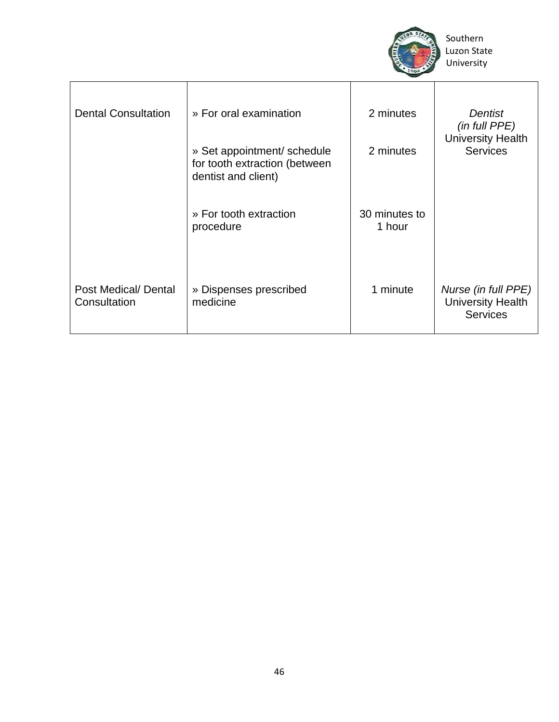

| <b>Dental Consultation</b>           | » For oral examination                                                              | 2 minutes<br>2 minutes  | <b>Dentist</b><br>(in full PPE)<br><b>University Health</b><br><b>Services</b> |
|--------------------------------------|-------------------------------------------------------------------------------------|-------------------------|--------------------------------------------------------------------------------|
|                                      | » Set appointment/ schedule<br>for tooth extraction (between<br>dentist and client) |                         |                                                                                |
|                                      | » For tooth extraction<br>procedure                                                 | 30 minutes to<br>1 hour |                                                                                |
| Post Medical/ Dental<br>Consultation | » Dispenses prescribed<br>medicine                                                  | 1 minute                | Nurse (in full PPE)<br><b>University Health</b><br><b>Services</b>             |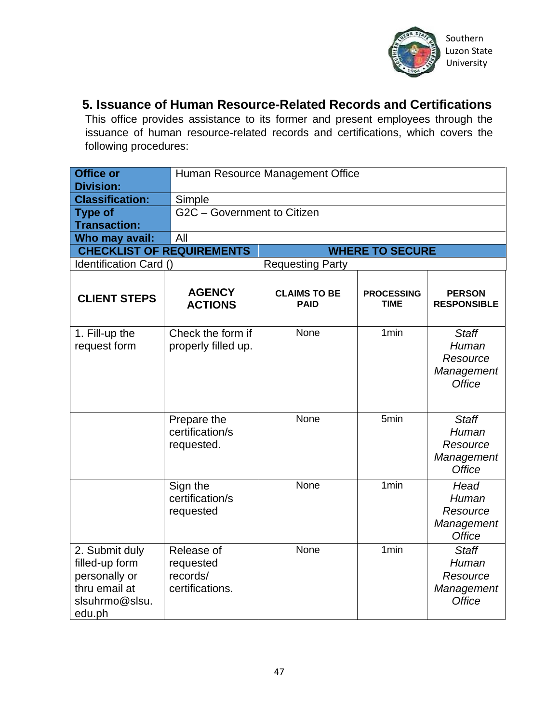

#### **5. Issuance of Human Resource-Related Records and Certifications**

This office provides assistance to its former and present employees through the issuance of human resource-related records and certifications, which covers the following procedures:

| <b>Office or</b><br><b>Division:</b>                                                           |                                                        | Human Resource Management Office   |                                  |                                                                  |  |
|------------------------------------------------------------------------------------------------|--------------------------------------------------------|------------------------------------|----------------------------------|------------------------------------------------------------------|--|
| <b>Classification:</b>                                                                         | Simple                                                 |                                    |                                  |                                                                  |  |
| <b>Type of</b>                                                                                 | G2C - Government to Citizen                            |                                    |                                  |                                                                  |  |
| <b>Transaction:</b>                                                                            |                                                        |                                    |                                  |                                                                  |  |
| Who may avail:                                                                                 | All                                                    |                                    |                                  |                                                                  |  |
| <b>CHECKLIST OF REQUIREMENTS</b>                                                               |                                                        |                                    | <b>WHERE TO SECURE</b>           |                                                                  |  |
| Identification Card ()                                                                         |                                                        | <b>Requesting Party</b>            |                                  |                                                                  |  |
| <b>CLIENT STEPS</b>                                                                            | <b>AGENCY</b><br><b>ACTIONS</b>                        | <b>CLAIMS TO BE</b><br><b>PAID</b> | <b>PROCESSING</b><br><b>TIME</b> | <b>PERSON</b><br><b>RESPONSIBLE</b>                              |  |
| 1. Fill-up the<br>request form                                                                 | Check the form if<br>properly filled up.               | None                               | 1 <sub>min</sub>                 | <b>Staff</b><br>Human<br>Resource<br>Management<br><b>Office</b> |  |
|                                                                                                | Prepare the<br>certification/s<br>requested.           | None                               | 5min                             | <b>Staff</b><br>Human<br>Resource<br>Management<br><b>Office</b> |  |
|                                                                                                | Sign the<br>certification/s<br>requested               | None                               | 1 <sub>min</sub>                 | Head<br>Human<br>Resource<br>Management<br><b>Office</b>         |  |
| 2. Submit duly<br>filled-up form<br>personally or<br>thru email at<br>slsuhrmo@slsu.<br>edu.ph | Release of<br>requested<br>records/<br>certifications. | None                               | 1 <sub>min</sub>                 | <b>Staff</b><br>Human<br>Resource<br>Management<br><b>Office</b> |  |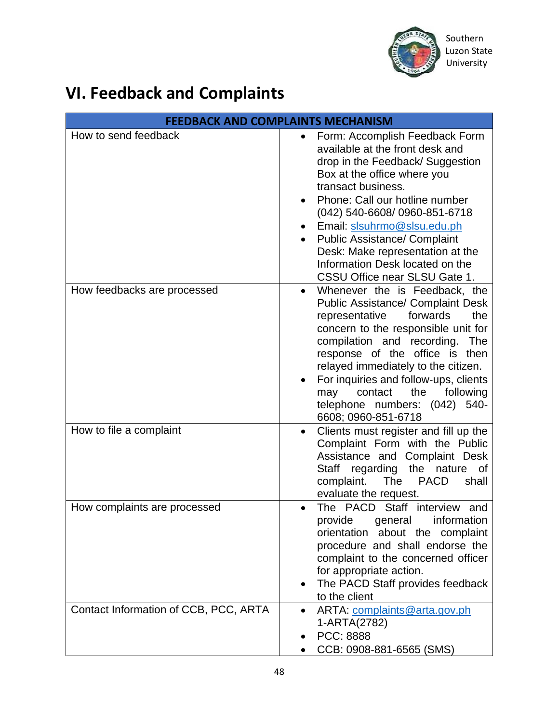

### **VI. Feedback and Complaints**

| <b>FEEDBACK AND COMPLAINTS MECHANISM</b> |                                                                                                                                                                                                                                                                                                                                                                                                                          |  |  |
|------------------------------------------|--------------------------------------------------------------------------------------------------------------------------------------------------------------------------------------------------------------------------------------------------------------------------------------------------------------------------------------------------------------------------------------------------------------------------|--|--|
| How to send feedback                     | Form: Accomplish Feedback Form<br>$\bullet$<br>available at the front desk and<br>drop in the Feedback/ Suggestion<br>Box at the office where you<br>transact business.<br>Phone: Call our hotline number<br>(042) 540-6608/ 0960-851-6718<br>Email: slsuhrmo@slsu.edu.ph<br><b>Public Assistance/ Complaint</b><br>Desk: Make representation at the<br>Information Desk located on the<br>CSSU Office near SLSU Gate 1. |  |  |
| How feedbacks are processed              | Whenever the is Feedback, the<br><b>Public Assistance/ Complaint Desk</b><br>forwards<br>the<br>representative<br>concern to the responsible unit for<br>compilation and recording.<br><b>The</b><br>response of the office is<br>then<br>relayed immediately to the citizen.<br>For inquiries and follow-ups, clients<br>may<br>contact<br>the<br>following<br>telephone numbers: (042)<br>540-<br>6608; 0960-851-6718  |  |  |
| How to file a complaint                  | Clients must register and fill up the<br>$\bullet$<br>Complaint Form with the Public<br>Assistance and Complaint Desk<br><b>Staff</b><br>the<br>nature<br>regarding<br>0f<br>The<br><b>PACD</b><br>complaint.<br>shall<br>evaluate the request.                                                                                                                                                                          |  |  |
| How complaints are processed             | The PACD Staff interview and<br>provide general information<br>orientation about the complaint<br>procedure and shall endorse the<br>complaint to the concerned officer<br>for appropriate action.<br>The PACD Staff provides feedback<br>$\bullet$<br>to the client                                                                                                                                                     |  |  |
| Contact Information of CCB, PCC, ARTA    | ARTA: complaints@arta.gov.ph<br>$\bullet$<br>1-ARTA(2782)<br>PCC: 8888<br>CCB: 0908-881-6565 (SMS)                                                                                                                                                                                                                                                                                                                       |  |  |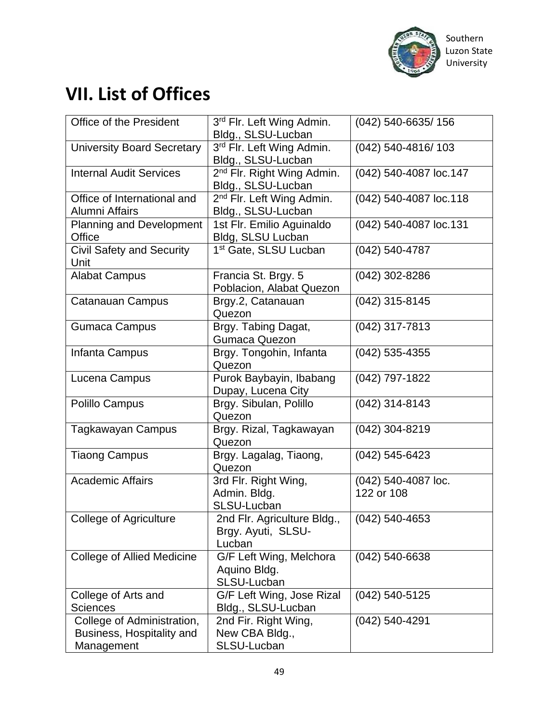

### **VII. List of Offices**

| Office of the President                                               | 3rd Flr. Left Wing Admin.<br>Bldg., SLSU-Lucban              | (042) 540-6635/156                |
|-----------------------------------------------------------------------|--------------------------------------------------------------|-----------------------------------|
| <b>University Board Secretary</b>                                     | 3rd Flr. Left Wing Admin.<br>Bldg., SLSU-Lucban              | (042) 540-4816/103                |
| <b>Internal Audit Services</b>                                        | 2 <sup>nd</sup> Flr. Right Wing Admin.<br>Bldg., SLSU-Lucban | (042) 540-4087 loc.147            |
| Office of International and<br>Alumni Affairs                         | 2 <sup>nd</sup> Flr. Left Wing Admin.<br>Bldg., SLSU-Lucban  | (042) 540-4087 loc.118            |
| Planning and Development<br><b>Office</b>                             | 1st Flr. Emilio Aguinaldo<br>Bldg, SLSU Lucban               | (042) 540-4087 loc.131            |
| <b>Civil Safety and Security</b><br>Unit                              | 1 <sup>st</sup> Gate, SLSU Lucban                            | (042) 540-4787                    |
| <b>Alabat Campus</b>                                                  | Francia St. Brgy. 5<br>Poblacion, Alabat Quezon              | (042) 302-8286                    |
| Catanauan Campus                                                      | Brgy.2, Catanauan<br>Quezon                                  | $(042)$ 315-8145                  |
| <b>Gumaca Campus</b>                                                  | Brgy. Tabing Dagat,<br><b>Gumaca Quezon</b>                  | (042) 317-7813                    |
| Infanta Campus                                                        | Brgy. Tongohin, Infanta<br>Quezon                            | $(042)$ 535-4355                  |
| Lucena Campus                                                         | Purok Baybayin, Ibabang<br>Dupay, Lucena City                | (042) 797-1822                    |
| Polillo Campus                                                        | Brgy. Sibulan, Polillo<br>Quezon                             | (042) 314-8143                    |
| <b>Tagkawayan Campus</b>                                              | Brgy. Rizal, Tagkawayan<br>Quezon                            | (042) 304-8219                    |
| <b>Tiaong Campus</b>                                                  | Brgy. Lagalag, Tiaong,<br>Quezon                             | (042) 545-6423                    |
| <b>Academic Affairs</b>                                               | 3rd Flr. Right Wing,<br>Admin. Bldg.<br>SLSU-Lucban          | (042) 540-4087 loc.<br>122 or 108 |
| College of Agriculture                                                | 2nd Flr. Agriculture Bldg.,<br>Brgy. Ayuti, SLSU-<br>Lucban  | $(042)$ 540-4653                  |
| <b>College of Allied Medicine</b>                                     | G/F Left Wing, Melchora<br>Aquino Bldg.<br>SLSU-Lucban       | (042) 540-6638                    |
| College of Arts and<br><b>Sciences</b>                                | G/F Left Wing, Jose Rizal<br>Bldg., SLSU-Lucban              | (042) 540-5125                    |
| College of Administration,<br>Business, Hospitality and<br>Management | 2nd Fir. Right Wing,<br>New CBA Bldg.,<br>SLSU-Lucban        | (042) 540-4291                    |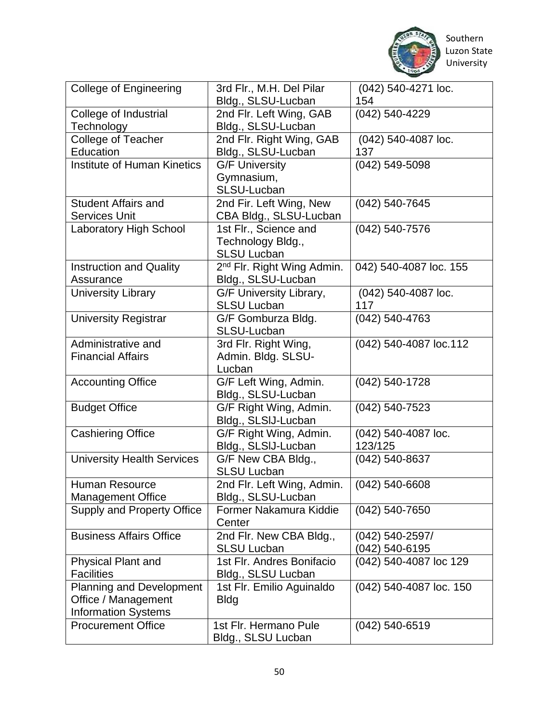

 Southern University

| <b>College of Engineering</b>      | 3rd Flr., M.H. Del Pilar               | (042) 540-4271 loc.     |
|------------------------------------|----------------------------------------|-------------------------|
|                                    | Bldg., SLSU-Lucban                     | 154                     |
| College of Industrial              | 2nd Flr. Left Wing, GAB                | (042) 540-4229          |
| Technology                         | Bldg., SLSU-Lucban                     |                         |
| College of Teacher                 | 2nd Flr. Right Wing, GAB               | (042) 540-4087 loc.     |
| Education                          | Bldg., SLSU-Lucban                     | 137                     |
| <b>Institute of Human Kinetics</b> | <b>G/F University</b>                  | (042) 549-5098          |
|                                    | Gymnasium,                             |                         |
| <b>Student Affairs and</b>         | SLSU-Lucban<br>2nd Fir. Left Wing, New | (042) 540-7645          |
| <b>Services Unit</b>               | CBA Bldg., SLSU-Lucban                 |                         |
| <b>Laboratory High School</b>      | 1st Flr., Science and                  | (042) 540-7576          |
|                                    | Technology Bldg.,                      |                         |
|                                    | <b>SLSU Lucban</b>                     |                         |
| <b>Instruction and Quality</b>     | 2 <sup>nd</sup> Flr. Right Wing Admin. | 042) 540-4087 loc. 155  |
| Assurance                          | Bldg., SLSU-Lucban                     |                         |
| <b>University Library</b>          | G/F University Library,                | (042) 540-4087 loc.     |
|                                    | <b>SLSU Lucban</b>                     | 117                     |
| <b>University Registrar</b>        | G/F Gomburza Bldg.                     | (042) 540-4763          |
|                                    | SLSU-Lucban                            |                         |
| Administrative and                 | 3rd Flr. Right Wing,                   | (042) 540-4087 loc.112  |
| <b>Financial Affairs</b>           | Admin. Bldg. SLSU-                     |                         |
|                                    | Lucban                                 |                         |
| <b>Accounting Office</b>           | G/F Left Wing, Admin.                  | (042) 540-1728          |
|                                    | Bldg., SLSU-Lucban                     |                         |
| <b>Budget Office</b>               | G/F Right Wing, Admin.                 | $(042)$ 540-7523        |
|                                    | Bldg., SLSIJ-Lucban                    |                         |
| <b>Cashiering Office</b>           | G/F Right Wing, Admin.                 | (042) 540-4087 loc.     |
|                                    | Bldg., SLSIJ-Lucban                    | 123/125                 |
| <b>University Health Services</b>  | G/F New CBA Bldg.,                     | (042) 540-8637          |
|                                    | <b>SLSU Lucban</b>                     |                         |
| Human Resource                     | 2nd Flr. Left Wing, Admin.             | $(042)$ 540-6608        |
| <b>Management Office</b>           | Bldg., SLSU-Lucban                     |                         |
| <b>Supply and Property Office</b>  | Former Nakamura Kiddie                 | $(042)$ 540-7650        |
|                                    | Center                                 |                         |
| <b>Business Affairs Office</b>     | 2nd Flr. New CBA Bldg.,                | (042) 540-2597/         |
|                                    | <b>SLSU Lucban</b>                     | (042) 540-6195          |
| <b>Physical Plant and</b>          | 1st Flr. Andres Bonifacio              | (042) 540-4087 loc 129  |
| <b>Facilities</b>                  | Bldg., SLSU Lucban                     |                         |
| <b>Planning and Development</b>    | 1st Flr. Emilio Aguinaldo              | (042) 540-4087 loc. 150 |
| Office / Management                | <b>Bldg</b>                            |                         |
| <b>Information Systems</b>         |                                        |                         |
| <b>Procurement Office</b>          | 1st Flr. Hermano Pule                  | $(042)$ 540-6519        |
|                                    | Bldg., SLSU Lucban                     |                         |